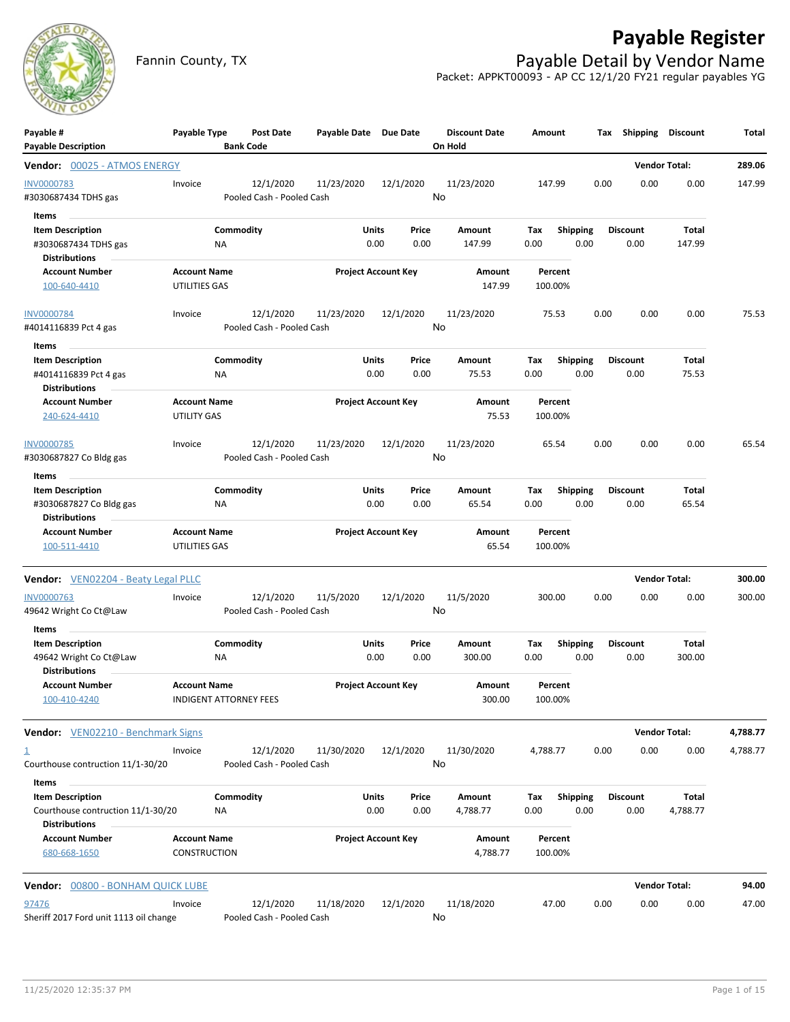

## **Payable Register**

Fannin County, TX **Payable Detail by Vendor Name** Packet: APPKT00093 - AP CC 12/1/20 FY21 regular payables YG

| Payable #<br><b>Payable Description</b>                                              | Payable Type                         | Post Date<br><b>Bank Code</b>          | Payable Date Due Date |                            |      | <b>Discount Date</b><br>On Hold | Amount             |                         | Tax Shipping            | <b>Discount</b>      | Total    |
|--------------------------------------------------------------------------------------|--------------------------------------|----------------------------------------|-----------------------|----------------------------|------|---------------------------------|--------------------|-------------------------|-------------------------|----------------------|----------|
| Vendor: 00025 - ATMOS ENERGY                                                         |                                      |                                        |                       |                            |      |                                 |                    |                         |                         | <b>Vendor Total:</b> | 289.06   |
| <b>INV0000783</b><br>#3030687434 TDHS gas                                            | Invoice                              | 12/1/2020<br>Pooled Cash - Pooled Cash | 11/23/2020            | 12/1/2020                  | No   | 11/23/2020                      | 147.99             |                         | 0.00<br>0.00            | 0.00                 | 147.99   |
| Items<br><b>Item Description</b><br>#3030687434 TDHS gas                             |                                      | Commodity<br>ΝA                        |                       | Units<br>Price<br>0.00     | 0.00 | Amount<br>147.99                | Tax<br>0.00        | Shipping<br>0.00        | <b>Discount</b><br>0.00 | Total<br>147.99      |          |
| <b>Distributions</b><br><b>Account Number</b><br>100-640-4410                        | <b>Account Name</b><br>UTILITIES GAS |                                        |                       | <b>Project Account Key</b> |      | Amount<br>147.99                | Percent<br>100.00% |                         |                         |                      |          |
| <b>INV0000784</b><br>#4014116839 Pct 4 gas                                           | Invoice                              | 12/1/2020<br>Pooled Cash - Pooled Cash | 11/23/2020            | 12/1/2020                  | No   | 11/23/2020                      | 75.53              |                         | 0.00<br>0.00            | 0.00                 | 75.53    |
| Items                                                                                |                                      |                                        |                       |                            |      |                                 |                    |                         |                         |                      |          |
| <b>Item Description</b><br>#4014116839 Pct 4 gas<br><b>Distributions</b>             |                                      | Commodity<br>ΝA                        |                       | Units<br>Price<br>0.00     | 0.00 | Amount<br>75.53                 | Tax<br>0.00        | <b>Shipping</b><br>0.00 | Discount<br>0.00        | Total<br>75.53       |          |
| <b>Account Number</b><br>240-624-4410                                                | <b>Account Name</b><br>UTILITY GAS   |                                        |                       | <b>Project Account Key</b> |      | Amount<br>75.53                 | Percent<br>100.00% |                         |                         |                      |          |
| INV0000785<br>#3030687827 Co Bldg gas                                                | Invoice                              | 12/1/2020<br>Pooled Cash - Pooled Cash | 11/23/2020            | 12/1/2020                  | No   | 11/23/2020                      | 65.54              |                         | 0.00<br>0.00            | 0.00                 | 65.54    |
| Items                                                                                |                                      |                                        |                       |                            |      |                                 |                    |                         |                         |                      |          |
| <b>Item Description</b><br>#3030687827 Co Bldg gas<br><b>Distributions</b>           |                                      | Commodity<br>NA                        |                       | Units<br>Price<br>0.00     | 0.00 | Amount<br>65.54                 | Tax<br>0.00        | <b>Shipping</b><br>0.00 | <b>Discount</b><br>0.00 | Total<br>65.54       |          |
| <b>Account Number</b><br>100-511-4410                                                | <b>Account Name</b><br>UTILITIES GAS |                                        |                       | <b>Project Account Key</b> |      | Amount<br>65.54                 | Percent<br>100.00% |                         |                         |                      |          |
| <b>Vendor:</b> VEN02204 - Beaty Legal PLLC                                           |                                      |                                        |                       |                            |      |                                 |                    |                         |                         | <b>Vendor Total:</b> | 300.00   |
| INV0000763<br>49642 Wright Co Ct@Law                                                 | Invoice                              | 12/1/2020<br>Pooled Cash - Pooled Cash | 11/5/2020             | 12/1/2020                  | No   | 11/5/2020                       | 300.00             |                         | 0.00<br>0.00            | 0.00                 | 300.00   |
| Items<br><b>Item Description</b><br>49642 Wright Co Ct@Law                           |                                      | Commodity<br>ΝA                        |                       | Units<br>Price<br>0.00     | 0.00 | Amount<br>300.00                | Tax<br>0.00        | <b>Shipping</b><br>0.00 | <b>Discount</b><br>0.00 | Total<br>300.00      |          |
| <b>Distributions</b><br><b>Account Number</b><br>100-410-4240                        | <b>Account Name</b>                  | <b>INDIGENT ATTORNEY FEES</b>          |                       | <b>Project Account Key</b> |      | Amount<br>300.00                | Percent<br>100.00% |                         |                         |                      |          |
| <b>Vendor:</b> VEN02210 - Benchmark Signs                                            |                                      |                                        |                       |                            |      |                                 |                    |                         |                         | <b>Vendor Total:</b> | 4,788.77 |
| $\overline{\mathbf{1}}$<br>Courthouse contruction 11/1-30/20                         | Invoice                              | 12/1/2020<br>Pooled Cash - Pooled Cash | 11/30/2020            | 12/1/2020                  | No   | 11/30/2020                      | 4,788.77           |                         | 0.00<br>0.00            | 0.00                 | 4,788.77 |
| Items                                                                                |                                      |                                        |                       |                            |      |                                 |                    |                         |                         |                      |          |
| <b>Item Description</b><br>Courthouse contruction 11/1-30/20<br><b>Distributions</b> |                                      | Commodity<br>ΝA                        |                       | Units<br>Price<br>0.00     | 0.00 | Amount<br>4,788.77              | Tax<br>0.00        | <b>Shipping</b><br>0.00 | <b>Discount</b><br>0.00 | Total<br>4,788.77    |          |
| <b>Account Number</b><br>680-668-1650                                                | <b>Account Name</b><br>CONSTRUCTION  |                                        |                       | <b>Project Account Key</b> |      | Amount<br>4,788.77              | Percent<br>100.00% |                         |                         |                      |          |
| Vendor: 00800 - BONHAM QUICK LUBE                                                    |                                      |                                        |                       |                            |      |                                 |                    |                         |                         | <b>Vendor Total:</b> | 94.00    |
| 97476<br>Sheriff 2017 Ford unit 1113 oil change                                      | Invoice                              | 12/1/2020<br>Pooled Cash - Pooled Cash | 11/18/2020            | 12/1/2020                  | No   | 11/18/2020                      | 47.00              |                         | 0.00<br>0.00            | 0.00                 | 47.00    |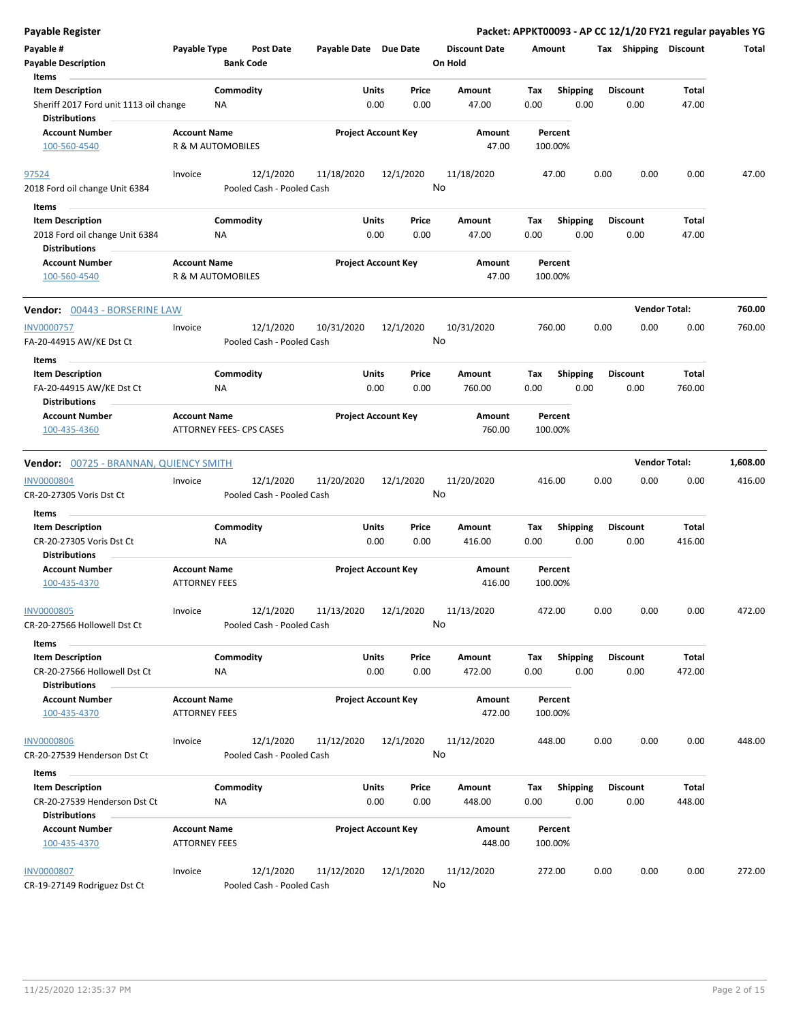| <b>Payable Register</b>                                                         |                                             |                                        |                       |                                |      |                                 |             |                         |      |                         | Packet: APPKT00093 - AP CC 12/1/20 FY21 regular payables YG |          |
|---------------------------------------------------------------------------------|---------------------------------------------|----------------------------------------|-----------------------|--------------------------------|------|---------------------------------|-------------|-------------------------|------|-------------------------|-------------------------------------------------------------|----------|
| Payable #<br><b>Payable Description</b>                                         | Payable Type                                | <b>Post Date</b><br><b>Bank Code</b>   | Payable Date Due Date |                                |      | <b>Discount Date</b><br>On Hold | Amount      |                         |      | Tax Shipping Discount   |                                                             | Total    |
| Items<br><b>Item Description</b><br>Sheriff 2017 Ford unit 1113 oil change      | NA                                          | Commodity                              |                       | Units<br>Price<br>0.00         | 0.00 | Amount<br>47.00                 | Tax<br>0.00 | <b>Shipping</b><br>0.00 |      | <b>Discount</b><br>0.00 | Total<br>47.00                                              |          |
| <b>Distributions</b><br><b>Account Number</b><br>100-560-4540                   | <b>Account Name</b><br>R & M AUTOMOBILES    |                                        |                       | <b>Project Account Key</b>     |      | Amount<br>47.00                 |             | Percent<br>100.00%      |      |                         |                                                             |          |
| 97524                                                                           | Invoice                                     | 12/1/2020                              | 11/18/2020            | 12/1/2020                      |      | 11/18/2020                      |             | 47.00                   | 0.00 | 0.00                    | 0.00                                                        | 47.00    |
| 2018 Ford oil change Unit 6384                                                  |                                             | Pooled Cash - Pooled Cash              |                       |                                | No   |                                 |             |                         |      |                         |                                                             |          |
| Items                                                                           |                                             |                                        |                       |                                |      |                                 |             |                         |      |                         |                                                             |          |
| <b>Item Description</b><br>2018 Ford oil change Unit 6384                       | <b>NA</b>                                   | Commodity                              |                       | Units<br>Price<br>0.00         | 0.00 | Amount<br>47.00                 | Tax<br>0.00 | <b>Shipping</b><br>0.00 |      | <b>Discount</b><br>0.00 | Total<br>47.00                                              |          |
| <b>Distributions</b><br><b>Account Number</b><br>100-560-4540                   | <b>Account Name</b><br>R & M AUTOMOBILES    |                                        |                       | <b>Project Account Key</b>     |      | Amount<br>47.00                 |             | Percent<br>100.00%      |      |                         |                                                             |          |
| <b>Vendor: 00443 - BORSERINE LAW</b>                                            |                                             |                                        |                       |                                |      |                                 |             |                         |      |                         | <b>Vendor Total:</b>                                        | 760.00   |
| <b>INV0000757</b><br>FA-20-44915 AW/KE Dst Ct                                   | Invoice                                     | 12/1/2020<br>Pooled Cash - Pooled Cash | 10/31/2020            | 12/1/2020                      | No   | 10/31/2020                      |             | 760.00                  | 0.00 | 0.00                    | 0.00                                                        | 760.00   |
| Items                                                                           |                                             |                                        |                       |                                |      |                                 |             |                         |      |                         |                                                             |          |
| <b>Item Description</b><br>FA-20-44915 AW/KE Dst Ct                             | NA.                                         | Commodity                              |                       | Units<br>Price<br>0.00<br>0.00 |      | Amount<br>760.00                | Tax<br>0.00 | <b>Shipping</b><br>0.00 |      | <b>Discount</b><br>0.00 | Total<br>760.00                                             |          |
| <b>Distributions</b>                                                            |                                             |                                        |                       |                                |      |                                 |             |                         |      |                         |                                                             |          |
| <b>Account Number</b><br>100-435-4360                                           | <b>Account Name</b>                         | ATTORNEY FEES- CPS CASES               |                       | <b>Project Account Key</b>     |      | Amount<br>760.00                |             | Percent<br>100.00%      |      |                         |                                                             |          |
| <b>Vendor: 00725 - BRANNAN, QUIENCY SMITH</b>                                   |                                             |                                        |                       |                                |      |                                 |             |                         |      |                         | <b>Vendor Total:</b>                                        | 1,608.00 |
| <b>INV0000804</b><br>CR-20-27305 Voris Dst Ct                                   | Invoice                                     | 12/1/2020<br>Pooled Cash - Pooled Cash | 11/20/2020            | 12/1/2020                      | No   | 11/20/2020                      |             | 416.00                  | 0.00 | 0.00                    | 0.00                                                        | 416.00   |
| Items                                                                           |                                             |                                        |                       |                                |      |                                 |             |                         |      |                         |                                                             |          |
| <b>Item Description</b>                                                         |                                             | Commodity                              |                       | <b>Units</b><br>Price          |      | Amount                          | Tax         | Shipping                |      | <b>Discount</b>         | Total                                                       |          |
| CR-20-27305 Voris Dst Ct<br><b>Distributions</b>                                | ΝA                                          |                                        |                       | 0.00                           | 0.00 | 416.00                          | 0.00        | 0.00                    |      | 0.00                    | 416.00                                                      |          |
| <b>Account Number</b><br>100-435-4370                                           | <b>Account Name</b><br><b>ATTORNEY FEES</b> |                                        |                       | <b>Project Account Key</b>     |      | Amount<br>416.00                |             | Percent<br>100.00%      |      |                         |                                                             |          |
| <b>INV0000805</b><br>CR-20-27566 Hollowell Dst Ct                               | Invoice                                     | 12/1/2020<br>Pooled Cash - Pooled Cash | 11/13/2020            | 12/1/2020                      | No   | 11/13/2020                      |             | 472.00                  | 0.00 | 0.00                    | 0.00                                                        | 472.00   |
| Items                                                                           |                                             |                                        |                       |                                |      |                                 |             |                         |      |                         |                                                             |          |
| <b>Item Description</b><br>CR-20-27566 Hollowell Dst Ct                         | NA                                          | Commodity                              |                       | Units<br>Price<br>0.00         | 0.00 | Amount<br>472.00                | Tax<br>0.00 | <b>Shipping</b><br>0.00 |      | <b>Discount</b><br>0.00 | Total<br>472.00                                             |          |
| <b>Distributions</b><br><b>Account Number</b><br>100-435-4370                   | <b>Account Name</b><br><b>ATTORNEY FEES</b> |                                        |                       | <b>Project Account Key</b>     |      | Amount<br>472.00                |             | Percent<br>100.00%      |      |                         |                                                             |          |
| <b>INV0000806</b><br>CR-20-27539 Henderson Dst Ct                               | Invoice                                     | 12/1/2020<br>Pooled Cash - Pooled Cash | 11/12/2020            | 12/1/2020                      | No   | 11/12/2020                      | 448.00      |                         | 0.00 | 0.00                    | 0.00                                                        | 448.00   |
| Items                                                                           |                                             |                                        |                       |                                |      |                                 |             |                         |      |                         |                                                             |          |
| <b>Item Description</b><br>CR-20-27539 Henderson Dst Ct<br><b>Distributions</b> | NA                                          | Commodity                              |                       | Units<br>Price<br>0.00         | 0.00 | Amount<br>448.00                | Tax<br>0.00 | <b>Shipping</b><br>0.00 |      | <b>Discount</b><br>0.00 | Total<br>448.00                                             |          |
| <b>Account Number</b><br>100-435-4370                                           | <b>Account Name</b><br><b>ATTORNEY FEES</b> |                                        |                       | <b>Project Account Key</b>     |      | Amount<br>448.00                |             | Percent<br>100.00%      |      |                         |                                                             |          |
| <b>INV0000807</b><br>CR-19-27149 Rodriguez Dst Ct                               | Invoice                                     | 12/1/2020<br>Pooled Cash - Pooled Cash | 11/12/2020            | 12/1/2020                      | No   | 11/12/2020                      | 272.00      |                         | 0.00 | 0.00                    | 0.00                                                        | 272.00   |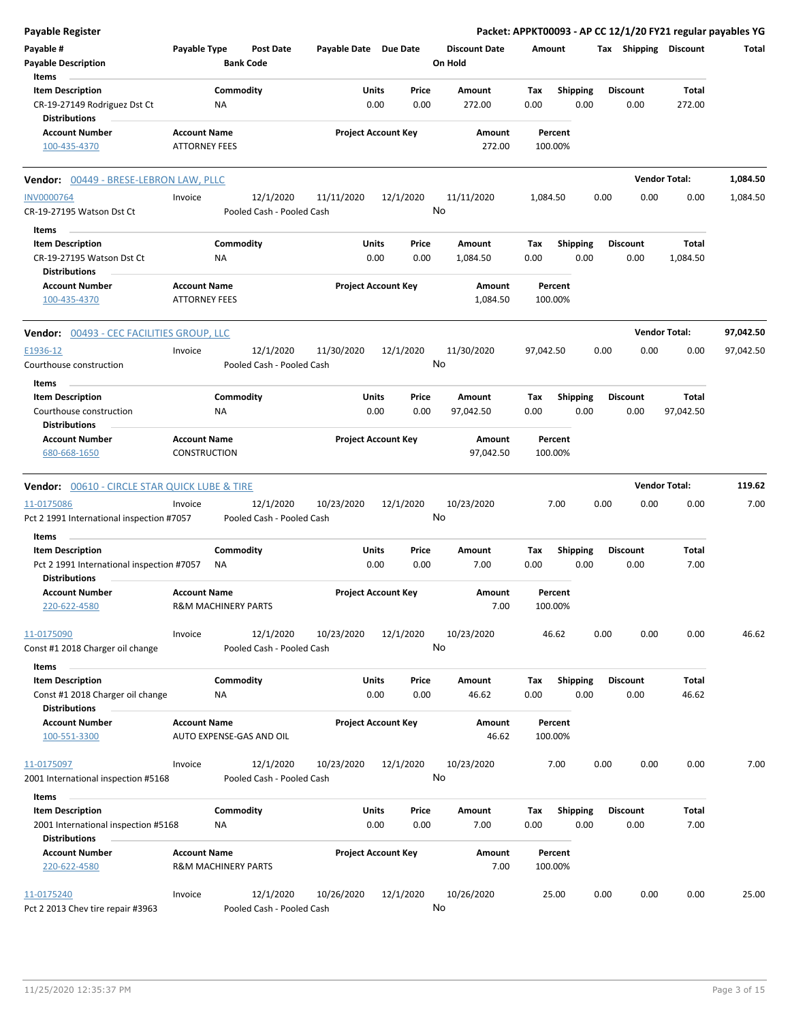| <b>Payable Register</b>                                                                      |                                             |                                        |                       |                            |                                 |             |                         |      |                         |                       | Packet: APPKT00093 - AP CC 12/1/20 FY21 regular payables YG |
|----------------------------------------------------------------------------------------------|---------------------------------------------|----------------------------------------|-----------------------|----------------------------|---------------------------------|-------------|-------------------------|------|-------------------------|-----------------------|-------------------------------------------------------------|
| Payable #<br>Payable Type<br><b>Payable Description</b><br>Items                             |                                             | <b>Post Date</b><br><b>Bank Code</b>   | Payable Date Due Date |                            | <b>Discount Date</b><br>On Hold | Amount      |                         |      |                         | Tax Shipping Discount | Total                                                       |
|                                                                                              |                                             |                                        |                       |                            |                                 |             |                         |      |                         |                       |                                                             |
| <b>Item Description</b><br>CR-19-27149 Rodriguez Dst Ct<br><b>Distributions</b>              |                                             | Commodity<br>NA                        | Units                 | Price<br>0.00<br>0.00      | Amount<br>272.00                | Tax<br>0.00 | <b>Shipping</b><br>0.00 |      | <b>Discount</b><br>0.00 | Total<br>272.00       |                                                             |
| <b>Account Number</b>                                                                        | <b>Account Name</b>                         |                                        |                       | <b>Project Account Key</b> | Amount                          |             | Percent                 |      |                         |                       |                                                             |
| 100-435-4370                                                                                 | <b>ATTORNEY FEES</b>                        |                                        |                       |                            | 272.00                          | 100.00%     |                         |      |                         |                       |                                                             |
| Vendor: 00449 - BRESE-LEBRON LAW, PLLC                                                       |                                             |                                        |                       |                            |                                 |             |                         |      |                         | <b>Vendor Total:</b>  | 1,084.50                                                    |
| <b>INV0000764</b><br>CR-19-27195 Watson Dst Ct                                               | Invoice                                     | 12/1/2020<br>Pooled Cash - Pooled Cash | 11/11/2020            | 12/1/2020                  | 11/11/2020<br>No                | 1,084.50    |                         | 0.00 | 0.00                    | 0.00                  | 1,084.50                                                    |
| Items                                                                                        |                                             |                                        |                       |                            |                                 |             |                         |      |                         |                       |                                                             |
| <b>Item Description</b><br>CR-19-27195 Watson Dst Ct                                         |                                             | Commodity<br>NA.                       | Units                 | Price<br>0.00<br>0.00      | Amount<br>1,084.50              | Тах<br>0.00 | <b>Shipping</b><br>0.00 |      | <b>Discount</b><br>0.00 | Total<br>1,084.50     |                                                             |
| <b>Distributions</b><br><b>Account Number</b><br>100-435-4370                                | <b>Account Name</b><br><b>ATTORNEY FEES</b> |                                        |                       | <b>Project Account Key</b> | Amount<br>1,084.50              | 100.00%     | Percent                 |      |                         |                       |                                                             |
| <b>Vendor: 00493 - CEC FACILITIES GROUP, LLC</b>                                             |                                             |                                        |                       |                            |                                 |             |                         |      |                         | <b>Vendor Total:</b>  | 97,042.50                                                   |
| E1936-12<br>Courthouse construction                                                          | Invoice                                     | 12/1/2020<br>Pooled Cash - Pooled Cash | 11/30/2020            | 12/1/2020                  | 11/30/2020<br>No                | 97,042.50   |                         | 0.00 | 0.00                    | 0.00                  | 97,042.50                                                   |
| Items                                                                                        |                                             |                                        |                       |                            |                                 |             |                         |      |                         |                       |                                                             |
| <b>Item Description</b><br>Courthouse construction                                           |                                             | Commodity<br>ΝA                        | Units                 | Price<br>0.00<br>0.00      | Amount<br>97,042.50             | Tax<br>0.00 | Shipping<br>0.00        |      | <b>Discount</b><br>0.00 | Total<br>97,042.50    |                                                             |
| <b>Distributions</b><br><b>Account Number</b><br>680-668-1650                                | <b>Account Name</b><br><b>CONSTRUCTION</b>  |                                        |                       | <b>Project Account Key</b> | Amount<br>97,042.50             | 100.00%     | Percent                 |      |                         |                       |                                                             |
| <b>Vendor: 00610 - CIRCLE STAR QUICK LUBE &amp; TIRE</b>                                     |                                             |                                        |                       |                            |                                 |             |                         |      |                         | <b>Vendor Total:</b>  | 119.62                                                      |
| 11-0175086<br>Pct 2 1991 International inspection #7057                                      | Invoice                                     | 12/1/2020<br>Pooled Cash - Pooled Cash | 10/23/2020            | 12/1/2020                  | 10/23/2020<br>No                |             | 7.00                    | 0.00 | 0.00                    | 0.00                  | 7.00                                                        |
| Items                                                                                        |                                             |                                        |                       |                            |                                 |             |                         |      |                         |                       |                                                             |
| <b>Item Description</b><br>Pct 2 1991 International inspection #7057<br><b>Distributions</b> |                                             | Commodity<br>ΝA                        | Units                 | Price<br>0.00<br>0.00      | Amount<br>7.00                  | Тах<br>0.00 | <b>Shipping</b><br>0.00 |      | <b>Discount</b><br>0.00 | Total<br>7.00         |                                                             |
| <b>Account Number</b><br>220-622-4580                                                        | <b>Account Name</b>                         | R&M MACHINERY PARTS                    |                       | <b>Project Account Key</b> | Amount<br>7.00                  | 100.00%     | Percent                 |      |                         |                       |                                                             |
| 11-0175090<br>Const #1 2018 Charger oil change                                               | Invoice                                     | 12/1/2020<br>Pooled Cash - Pooled Cash | 10/23/2020            | 12/1/2020                  | 10/23/2020<br>No                |             | 46.62                   | 0.00 | 0.00                    | 0.00                  | 46.62                                                       |
| Items                                                                                        |                                             |                                        |                       |                            |                                 |             |                         |      |                         |                       |                                                             |
| <b>Item Description</b><br>Const #1 2018 Charger oil change                                  |                                             | Commodity<br>ΝA                        | Units                 | Price<br>0.00<br>0.00      | Amount<br>46.62                 | Tax<br>0.00 | <b>Shipping</b><br>0.00 |      | <b>Discount</b><br>0.00 | Total<br>46.62        |                                                             |
| <b>Distributions</b><br><b>Account Number</b>                                                | <b>Account Name</b>                         |                                        |                       | <b>Project Account Key</b> | Amount                          |             | Percent                 |      |                         |                       |                                                             |
| 100-551-3300                                                                                 |                                             | AUTO EXPENSE-GAS AND OIL               |                       |                            | 46.62                           | 100.00%     |                         |      |                         |                       |                                                             |
| 11-0175097<br>2001 International inspection #5168                                            | Invoice                                     | 12/1/2020<br>Pooled Cash - Pooled Cash | 10/23/2020            | 12/1/2020                  | 10/23/2020<br>No                |             | 7.00                    | 0.00 | 0.00                    | 0.00                  | 7.00                                                        |
| Items                                                                                        |                                             |                                        |                       |                            |                                 |             |                         |      |                         |                       |                                                             |
| <b>Item Description</b><br>2001 International inspection #5168<br><b>Distributions</b>       |                                             | Commodity<br>ΝA                        | Units                 | Price<br>0.00<br>0.00      | Amount<br>7.00                  | Tax<br>0.00 | <b>Shipping</b><br>0.00 |      | <b>Discount</b><br>0.00 | Total<br>7.00         |                                                             |
| <b>Account Number</b><br>220-622-4580                                                        | <b>Account Name</b>                         | <b>R&amp;M MACHINERY PARTS</b>         |                       | <b>Project Account Key</b> | Amount<br>7.00                  | 100.00%     | Percent                 |      |                         |                       |                                                             |
| 11-0175240<br>Pct 2 2013 Chev tire repair #3963                                              | Invoice                                     | 12/1/2020<br>Pooled Cash - Pooled Cash | 10/26/2020            | 12/1/2020                  | 10/26/2020<br>No                | 25.00       |                         | 0.00 | 0.00                    | 0.00                  | 25.00                                                       |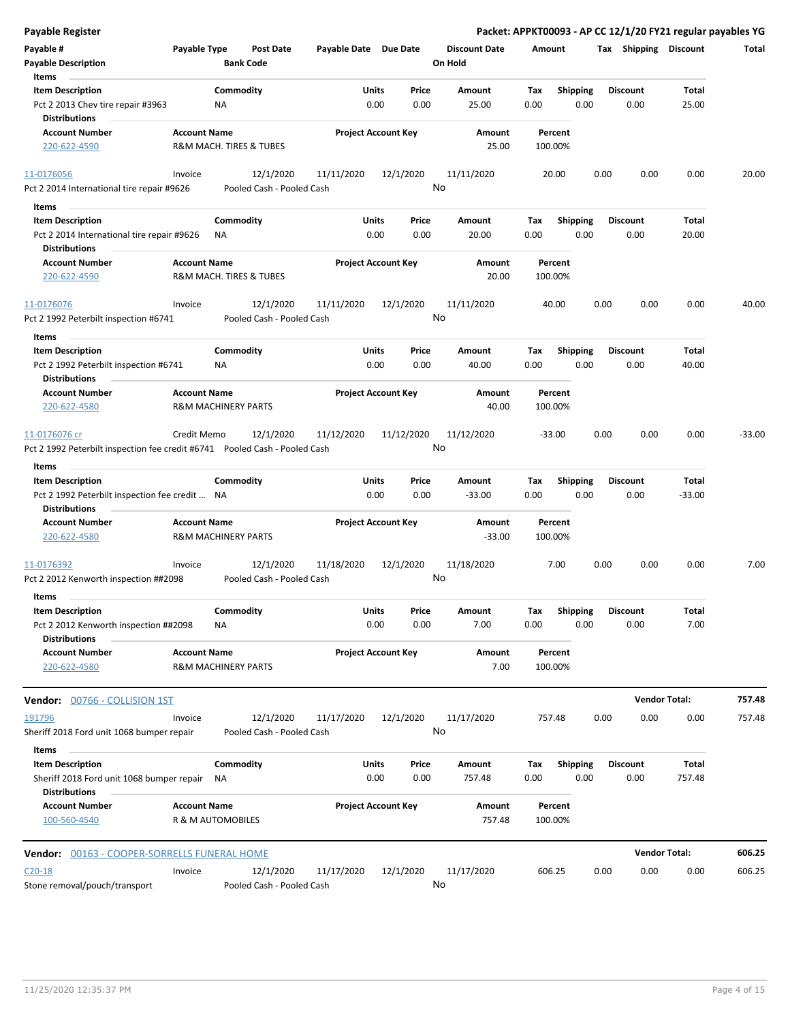| <b>Payable Register</b>                                                                           |                                                               |                                        |                       |                            |                                 |                    |                         | Packet: APPKT00093 - AP CC 12/1/20 FY21 regular payables YG |                      |          |
|---------------------------------------------------------------------------------------------------|---------------------------------------------------------------|----------------------------------------|-----------------------|----------------------------|---------------------------------|--------------------|-------------------------|-------------------------------------------------------------|----------------------|----------|
| Payable #<br><b>Payable Description</b>                                                           | Payable Type                                                  | <b>Post Date</b><br><b>Bank Code</b>   | Payable Date Due Date |                            | <b>Discount Date</b><br>On Hold | Amount             |                         | Tax Shipping Discount                                       |                      | Total    |
| Items<br><b>Item Description</b><br>Pct 2 2013 Chev tire repair #3963                             | <b>NA</b>                                                     | Commodity                              | Units                 | Price<br>0.00<br>0.00      | Amount<br>25.00                 | Tax<br>0.00        | <b>Shipping</b><br>0.00 | <b>Discount</b><br>0.00                                     | Total<br>25.00       |          |
| <b>Distributions</b><br><b>Account Number</b><br>220-622-4590                                     | <b>Account Name</b><br><b>R&amp;M MACH. TIRES &amp; TUBES</b> |                                        |                       | <b>Project Account Key</b> | Amount<br>25.00                 | Percent<br>100.00% |                         |                                                             |                      |          |
|                                                                                                   |                                                               |                                        |                       |                            |                                 |                    |                         |                                                             |                      |          |
| 11-0176056<br>Pct 2 2014 International tire repair #9626                                          | Invoice                                                       | 12/1/2020<br>Pooled Cash - Pooled Cash | 11/11/2020            | 12/1/2020                  | 11/11/2020<br>No                | 20.00              |                         | 0.00<br>0.00                                                | 0.00                 | 20.00    |
| Items                                                                                             |                                                               |                                        |                       |                            |                                 |                    |                         |                                                             |                      |          |
| <b>Item Description</b>                                                                           |                                                               | Commodity                              | Units                 | Price                      | Amount                          | Tax                | <b>Shipping</b>         | <b>Discount</b>                                             | Total                |          |
| Pct 2 2014 International tire repair #9626                                                        | <b>NA</b>                                                     |                                        |                       | 0.00<br>0.00               | 20.00                           | 0.00               | 0.00                    | 0.00                                                        | 20.00                |          |
| <b>Distributions</b>                                                                              |                                                               |                                        |                       |                            |                                 |                    |                         |                                                             |                      |          |
| <b>Account Number</b><br>220-622-4590                                                             | <b>Account Name</b><br>R&M MACH. TIRES & TUBES                |                                        |                       | <b>Project Account Key</b> | Amount<br>20.00                 | Percent<br>100.00% |                         |                                                             |                      |          |
| 11-0176076<br>Pct 2 1992 Peterbilt inspection #6741                                               | Invoice                                                       | 12/1/2020<br>Pooled Cash - Pooled Cash | 11/11/2020            | 12/1/2020                  | 11/11/2020<br>No                | 40.00              |                         | 0.00<br>0.00                                                | 0.00                 | 40.00    |
| Items                                                                                             |                                                               |                                        |                       |                            |                                 |                    |                         |                                                             |                      |          |
| <b>Item Description</b><br>Pct 2 1992 Peterbilt inspection #6741                                  | ΝA                                                            | Commodity                              | Units                 | Price<br>0.00<br>0.00      | Amount<br>40.00                 | Tax<br>0.00        | Shipping<br>0.00        | <b>Discount</b><br>0.00                                     | Total<br>40.00       |          |
| <b>Distributions</b>                                                                              |                                                               |                                        |                       |                            |                                 |                    |                         |                                                             |                      |          |
| <b>Account Number</b><br>220-622-4580                                                             | <b>Account Name</b><br><b>R&amp;M MACHINERY PARTS</b>         |                                        |                       | <b>Project Account Key</b> | Amount<br>40.00                 | Percent<br>100.00% |                         |                                                             |                      |          |
| 11-0176076 cr<br>Pct 2 1992 Peterbilt inspection fee credit #6741  Pooled Cash - Pooled Cash      | Credit Memo                                                   | 12/1/2020                              | 11/12/2020            | 11/12/2020                 | 11/12/2020<br>No                | -33.00             |                         | 0.00<br>0.00                                                | 0.00                 | $-33.00$ |
| Items                                                                                             |                                                               |                                        |                       |                            |                                 |                    |                         |                                                             |                      |          |
| <b>Item Description</b><br>Pct 2 1992 Peterbilt inspection fee credit  NA<br><b>Distributions</b> |                                                               | Commodity                              | Units                 | Price<br>0.00<br>0.00      | Amount<br>$-33.00$              | Tax<br>0.00        | <b>Shipping</b><br>0.00 | <b>Discount</b><br>0.00                                     | Total<br>$-33.00$    |          |
| <b>Account Number</b><br>220-622-4580                                                             | <b>Account Name</b><br><b>R&amp;M MACHINERY PARTS</b>         |                                        |                       | <b>Project Account Key</b> | Amount<br>$-33.00$              | Percent<br>100.00% |                         |                                                             |                      |          |
| 11-0176392<br>Pct 2 2012 Kenworth inspection ##2098                                               | Invoice                                                       | 12/1/2020<br>Pooled Cash - Pooled Cash | 11/18/2020            | 12/1/2020                  | 11/18/2020<br>No                | 7.00               |                         | 0.00<br>0.00                                                | 0.00                 | 7.00     |
| Items                                                                                             |                                                               |                                        |                       |                            |                                 |                    |                         |                                                             |                      |          |
| <b>Item Description</b><br>Pct 2 2012 Kenworth inspection ##2098                                  | ΝA                                                            | Commodity                              | Units                 | Price<br>0.00<br>0.00      | Amount<br>7.00                  | Tax<br>0.00        | <b>Shipping</b><br>0.00 | <b>Discount</b><br>0.00                                     | Total<br>7.00        |          |
| <b>Distributions</b><br><b>Account Number</b><br>220-622-4580                                     | <b>Account Name</b><br><b>R&amp;M MACHINERY PARTS</b>         |                                        |                       | <b>Project Account Key</b> | Amount<br>7.00                  | Percent<br>100.00% |                         |                                                             |                      |          |
| <b>Vendor: 00766 - COLLISION 1ST</b>                                                              |                                                               |                                        |                       |                            |                                 |                    |                         |                                                             | <b>Vendor Total:</b> | 757.48   |
| 191796<br>Sheriff 2018 Ford unit 1068 bumper repair                                               | Invoice                                                       | 12/1/2020<br>Pooled Cash - Pooled Cash | 11/17/2020            | 12/1/2020                  | 11/17/2020<br>No                | 757.48             |                         | 0.00<br>0.00                                                | 0.00                 | 757.48   |
| Items                                                                                             |                                                               |                                        |                       |                            |                                 |                    |                         |                                                             |                      |          |
| <b>Item Description</b><br>Sheriff 2018 Ford unit 1068 bumper repair<br><b>Distributions</b>      | NA                                                            | Commodity                              | Units                 | Price<br>0.00<br>0.00      | Amount<br>757.48                | Tax<br>0.00        | Shipping<br>0.00        | <b>Discount</b><br>0.00                                     | Total<br>757.48      |          |
| <b>Account Number</b><br>100-560-4540                                                             | <b>Account Name</b><br>R & M AUTOMOBILES                      |                                        |                       | <b>Project Account Key</b> | Amount<br>757.48                | Percent<br>100.00% |                         |                                                             |                      |          |
| Vendor: 00163 - COOPER-SORRELLS FUNERAL HOME                                                      |                                                               |                                        |                       |                            |                                 |                    |                         |                                                             | <b>Vendor Total:</b> | 606.25   |
| $C20-18$                                                                                          | Invoice                                                       | 12/1/2020                              | 11/17/2020            | 12/1/2020                  | 11/17/2020                      | 606.25             |                         | 0.00<br>0.00                                                | 0.00                 | 606.25   |
| Stone removal/pouch/transport                                                                     |                                                               | Pooled Cash - Pooled Cash              |                       |                            | No                              |                    |                         |                                                             |                      |          |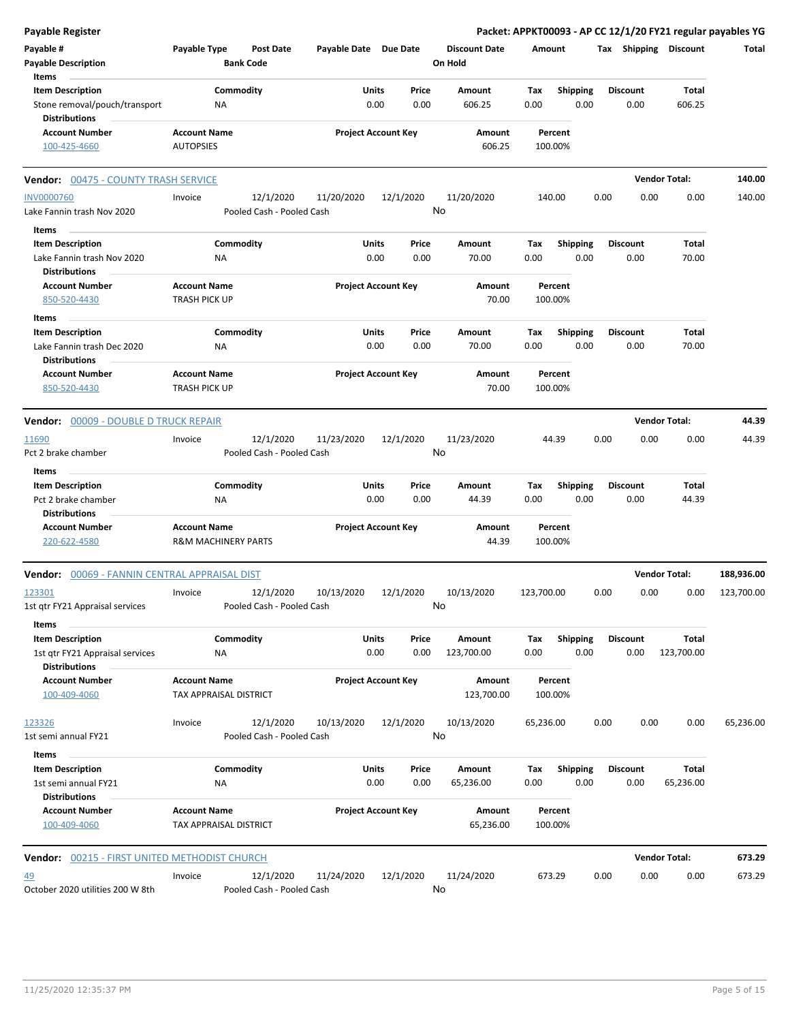| Payable Register                                                                   | Packet: APPKT00093 - AP CC 12/1/20 FY21 regular payables YG |                                        |                            |      |                 |                                 |                    |                         |      |                         |                       |            |
|------------------------------------------------------------------------------------|-------------------------------------------------------------|----------------------------------------|----------------------------|------|-----------------|---------------------------------|--------------------|-------------------------|------|-------------------------|-----------------------|------------|
| Payable #<br><b>Payable Description</b>                                            | Payable Type                                                | Post Date<br><b>Bank Code</b>          | Payable Date Due Date      |      |                 | <b>Discount Date</b><br>On Hold | Amount             |                         |      |                         | Tax Shipping Discount | Total      |
| Items<br><b>Item Description</b>                                                   |                                                             | Commodity                              | Units                      |      | Price           | Amount                          | Tax                | <b>Shipping</b>         |      | <b>Discount</b>         | Total                 |            |
| Stone removal/pouch/transport<br><b>Distributions</b>                              | ΝA                                                          |                                        |                            | 0.00 | 0.00            | 606.25                          | 0.00               | 0.00                    |      | 0.00                    | 606.25                |            |
| <b>Account Number</b><br>100-425-4660                                              | <b>Account Name</b><br><b>AUTOPSIES</b>                     |                                        | <b>Project Account Key</b> |      |                 | Amount<br>606.25                | Percent<br>100.00% |                         |      |                         |                       |            |
| <b>Vendor: 00475 - COUNTY TRASH SERVICE</b>                                        |                                                             |                                        |                            |      |                 |                                 |                    |                         |      |                         | <b>Vendor Total:</b>  | 140.00     |
| <b>INV0000760</b>                                                                  | Invoice                                                     | 12/1/2020                              | 11/20/2020                 |      | 12/1/2020       | 11/20/2020                      | 140.00             |                         | 0.00 | 0.00                    | 0.00                  | 140.00     |
| Lake Fannin trash Nov 2020                                                         |                                                             | Pooled Cash - Pooled Cash              |                            |      | No              |                                 |                    |                         |      |                         |                       |            |
| Items                                                                              |                                                             |                                        |                            |      |                 |                                 |                    |                         |      |                         |                       |            |
| <b>Item Description</b><br>Lake Fannin trash Nov 2020<br><b>Distributions</b>      | <b>NA</b>                                                   | Commodity                              | Units                      | 0.00 | Price<br>0.00   | Amount<br>70.00                 | Tax<br>0.00        | <b>Shipping</b><br>0.00 |      | <b>Discount</b><br>0.00 | Total<br>70.00        |            |
| <b>Account Number</b><br>850-520-4430                                              | <b>Account Name</b><br><b>TRASH PICK UP</b>                 |                                        | <b>Project Account Key</b> |      |                 | Amount<br>70.00                 | Percent<br>100.00% |                         |      |                         |                       |            |
| Items                                                                              |                                                             |                                        |                            |      |                 |                                 |                    |                         |      |                         |                       |            |
| <b>Item Description</b><br>Lake Fannin trash Dec 2020                              | NA                                                          | Commodity                              | Units                      | 0.00 | Price<br>0.00   | Amount<br>70.00                 | Tax<br>0.00        | Shipping<br>0.00        |      | <b>Discount</b><br>0.00 | Total<br>70.00        |            |
| <b>Distributions</b><br><b>Account Number</b><br>850-520-4430                      | <b>Account Name</b><br>TRASH PICK UP                        |                                        | <b>Project Account Key</b> |      |                 | Amount<br>70.00                 | Percent<br>100.00% |                         |      |                         |                       |            |
| <b>Vendor: 00009 - DOUBLE D TRUCK REPAIR</b>                                       |                                                             |                                        |                            |      |                 |                                 |                    |                         |      |                         | <b>Vendor Total:</b>  | 44.39      |
| 11690<br>Pct 2 brake chamber                                                       | Invoice                                                     | 12/1/2020<br>Pooled Cash - Pooled Cash | 11/23/2020                 |      | 12/1/2020<br>No | 11/23/2020                      | 44.39              |                         | 0.00 | 0.00                    | 0.00                  | 44.39      |
| Items                                                                              |                                                             |                                        |                            |      |                 |                                 |                    |                         |      |                         |                       |            |
| <b>Item Description</b><br>Pct 2 brake chamber<br><b>Distributions</b>             | ΝA                                                          | Commodity                              | Units                      | 0.00 | Price<br>0.00   | Amount<br>44.39                 | Tax<br>0.00        | <b>Shipping</b><br>0.00 |      | <b>Discount</b><br>0.00 | Total<br>44.39        |            |
| <b>Account Number</b><br>220-622-4580                                              | <b>Account Name</b><br>R&M MACHINERY PARTS                  |                                        | <b>Project Account Key</b> |      |                 | Amount<br>44.39                 | Percent<br>100.00% |                         |      |                         |                       |            |
| Vendor: 00069 - FANNIN CENTRAL APPRAISAL DIST                                      |                                                             |                                        |                            |      |                 |                                 |                    |                         |      |                         | <b>Vendor Total:</b>  | 188,936.00 |
| 123301<br>1st qtr FY21 Appraisal services                                          | Invoice                                                     | 12/1/2020<br>Pooled Cash - Pooled Cash | 10/13/2020                 |      | 12/1/2020<br>No | 10/13/2020                      | 123,700.00         |                         | 0.00 | 0.00                    | 0.00                  | 123,700.00 |
| Items                                                                              |                                                             |                                        |                            |      |                 |                                 |                    |                         |      |                         |                       |            |
| <b>Item Description</b><br>1st qtr FY21 Appraisal services<br><b>Distributions</b> | <b>NA</b>                                                   | Commodity                              | Units                      | 0.00 | Price<br>0.00   | Amount<br>123,700.00            | Tax<br>0.00        | Shipping<br>0.00        |      | <b>Discount</b><br>0.00 | Total<br>123,700.00   |            |
| <b>Account Number</b><br>100-409-4060                                              | <b>Account Name</b><br>TAX APPRAISAL DISTRICT               |                                        | <b>Project Account Key</b> |      |                 | Amount<br>123,700.00            | Percent<br>100.00% |                         |      |                         |                       |            |
| 123326<br>1st semi annual FY21                                                     | Invoice                                                     | 12/1/2020<br>Pooled Cash - Pooled Cash | 10/13/2020                 |      | 12/1/2020<br>No | 10/13/2020                      | 65,236.00          |                         | 0.00 | 0.00                    | 0.00                  | 65,236.00  |
| Items                                                                              |                                                             |                                        |                            |      |                 |                                 |                    |                         |      |                         |                       |            |
| <b>Item Description</b><br>1st semi annual FY21                                    | ΝA                                                          | Commodity                              | Units                      | 0.00 | Price<br>0.00   | Amount<br>65,236.00             | Tax<br>0.00        | <b>Shipping</b><br>0.00 |      | <b>Discount</b><br>0.00 | Total<br>65,236.00    |            |
| <b>Distributions</b><br><b>Account Number</b><br>100-409-4060                      | <b>Account Name</b><br>TAX APPRAISAL DISTRICT               |                                        | <b>Project Account Key</b> |      |                 | Amount<br>65,236.00             | Percent<br>100.00% |                         |      |                         |                       |            |
| Vendor: 00215 - FIRST UNITED METHODIST CHURCH                                      |                                                             |                                        |                            |      |                 |                                 |                    |                         |      |                         | <b>Vendor Total:</b>  | 673.29     |
| <u>49</u><br>October 2020 utilities 200 W 8th                                      | Invoice                                                     | 12/1/2020<br>Pooled Cash - Pooled Cash | 11/24/2020                 |      | 12/1/2020<br>No | 11/24/2020                      | 673.29             |                         | 0.00 | 0.00                    | 0.00                  | 673.29     |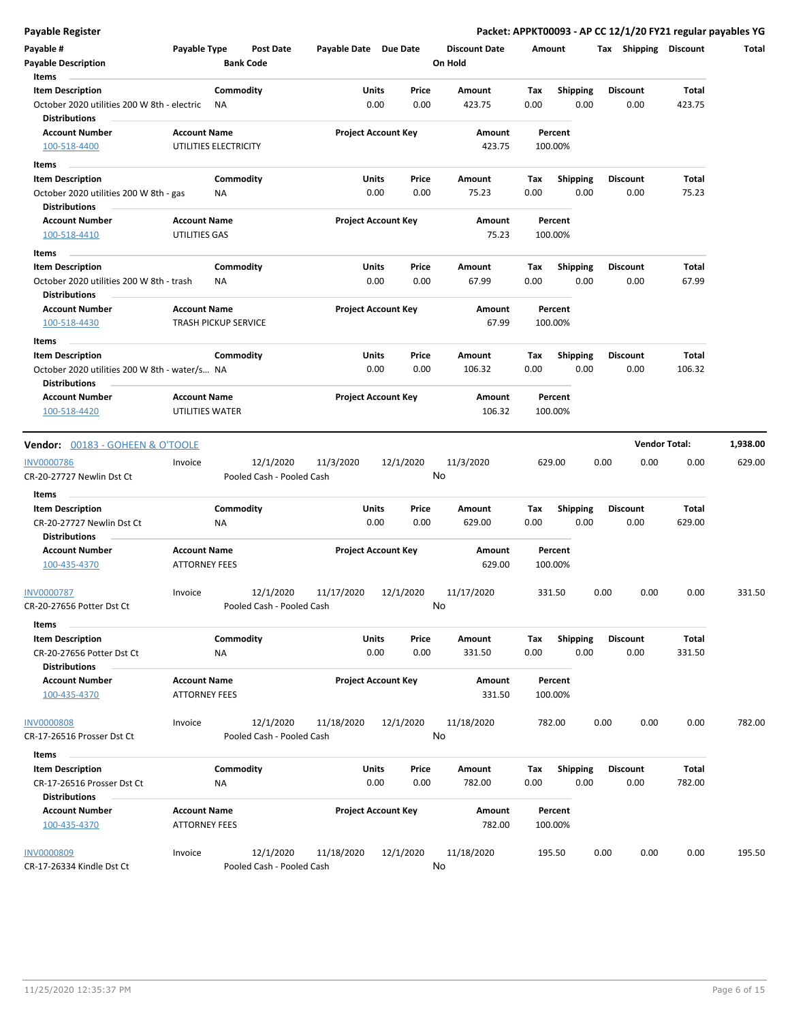| <b>Payable Register</b>                                             |                                                    |                 |                                        |                       |                            |               |                      |             |                         |      |                         | Packet: APPKT00093 - AP CC 12/1/20 FY21 regular payables YG |          |
|---------------------------------------------------------------------|----------------------------------------------------|-----------------|----------------------------------------|-----------------------|----------------------------|---------------|----------------------|-------------|-------------------------|------|-------------------------|-------------------------------------------------------------|----------|
| Payable #                                                           | Payable Type                                       |                 | Post Date                              | Payable Date Due Date |                            |               | <b>Discount Date</b> | Amount      |                         |      | Tax Shipping Discount   |                                                             | Total    |
| <b>Payable Description</b>                                          |                                                    |                 | <b>Bank Code</b>                       |                       |                            |               | On Hold              |             |                         |      |                         |                                                             |          |
| Items                                                               |                                                    |                 |                                        |                       |                            |               |                      |             |                         |      |                         |                                                             |          |
| <b>Item Description</b>                                             |                                                    | Commodity       |                                        | Units                 |                            | Price         | Amount               | Tax         | <b>Shipping</b>         |      | <b>Discount</b>         | Total                                                       |          |
| October 2020 utilities 200 W 8th - electric<br><b>Distributions</b> |                                                    | ΝA              |                                        |                       | 0.00                       | 0.00          | 423.75               | 0.00        | 0.00                    |      | 0.00                    | 423.75                                                      |          |
| <b>Account Number</b>                                               | <b>Account Name</b>                                |                 |                                        |                       | <b>Project Account Key</b> |               | Amount               |             | Percent                 |      |                         |                                                             |          |
| 100-518-4400                                                        | UTILITIES ELECTRICITY                              |                 |                                        |                       |                            |               | 423.75               |             | 100.00%                 |      |                         |                                                             |          |
| Items                                                               |                                                    |                 |                                        |                       |                            |               |                      |             |                         |      |                         |                                                             |          |
| <b>Item Description</b>                                             |                                                    | Commodity       |                                        | Units                 |                            | Price         | Amount               | Tax         | <b>Shipping</b>         |      | <b>Discount</b>         | Total                                                       |          |
| October 2020 utilities 200 W 8th - gas<br><b>Distributions</b>      |                                                    | NA              |                                        |                       | 0.00                       | 0.00          | 75.23                | 0.00        | 0.00                    |      | 0.00                    | 75.23                                                       |          |
| <b>Account Number</b><br>100-518-4410                               | <b>Account Name</b><br>UTILITIES GAS               |                 |                                        |                       | <b>Project Account Key</b> |               | Amount<br>75.23      |             | Percent<br>100.00%      |      |                         |                                                             |          |
| Items                                                               |                                                    |                 |                                        |                       |                            |               |                      |             |                         |      |                         |                                                             |          |
| <b>Item Description</b><br>October 2020 utilities 200 W 8th - trash |                                                    | Commodity<br>ΝA |                                        | Units<br>0.00         |                            | Price<br>0.00 | Amount<br>67.99      | Tax<br>0.00 | <b>Shipping</b><br>0.00 |      | <b>Discount</b><br>0.00 | Total<br>67.99                                              |          |
| <b>Distributions</b>                                                |                                                    |                 |                                        |                       |                            |               |                      |             |                         |      |                         |                                                             |          |
| <b>Account Number</b><br>100-518-4430                               | <b>Account Name</b><br><b>TRASH PICKUP SERVICE</b> |                 |                                        |                       | <b>Project Account Key</b> |               | Amount<br>67.99      |             | Percent<br>100.00%      |      |                         |                                                             |          |
| Items                                                               |                                                    |                 |                                        |                       |                            |               |                      |             |                         |      |                         |                                                             |          |
| <b>Item Description</b>                                             |                                                    | Commodity       |                                        | Units                 |                            | Price         | Amount               | Tax         | <b>Shipping</b>         |      | <b>Discount</b>         | Total                                                       |          |
| October 2020 utilities 200 W 8th - water/s NA                       |                                                    |                 |                                        | 0.00                  |                            | 0.00          | 106.32               | 0.00        | 0.00                    |      | 0.00                    | 106.32                                                      |          |
| <b>Distributions</b>                                                |                                                    |                 |                                        |                       |                            |               |                      |             |                         |      |                         |                                                             |          |
| <b>Account Number</b>                                               | <b>Account Name</b>                                |                 |                                        |                       | <b>Project Account Key</b> |               | Amount               |             | Percent                 |      |                         |                                                             |          |
| 100-518-4420                                                        | UTILITIES WATER                                    |                 |                                        |                       |                            |               | 106.32               |             | 100.00%                 |      |                         |                                                             |          |
| <b>Vendor: 00183 - GOHEEN &amp; O'TOOLE</b>                         |                                                    |                 |                                        |                       |                            |               |                      |             |                         |      |                         | <b>Vendor Total:</b>                                        | 1,938.00 |
|                                                                     |                                                    |                 |                                        |                       |                            |               |                      |             |                         |      |                         |                                                             |          |
| <b>INV0000786</b><br>CR-20-27727 Newlin Dst Ct                      | Invoice                                            |                 | 12/1/2020<br>Pooled Cash - Pooled Cash | 11/3/2020             | 12/1/2020                  |               | 11/3/2020<br>No      |             | 629.00                  | 0.00 | 0.00                    | 0.00                                                        | 629.00   |
| Items                                                               |                                                    |                 |                                        |                       |                            |               |                      |             |                         |      |                         |                                                             |          |
| <b>Item Description</b>                                             |                                                    | Commodity       |                                        | Units                 |                            | Price         | Amount               | Tax         | <b>Shipping</b>         |      | <b>Discount</b>         | Total                                                       |          |
| CR-20-27727 Newlin Dst Ct<br><b>Distributions</b>                   |                                                    | ΝA              |                                        |                       | 0.00                       | 0.00          | 629.00               | 0.00        | 0.00                    |      | 0.00                    | 629.00                                                      |          |
| <b>Account Number</b>                                               | <b>Account Name</b>                                |                 |                                        |                       | <b>Project Account Key</b> |               | Amount               |             | Percent                 |      |                         |                                                             |          |
| 100-435-4370                                                        | <b>ATTORNEY FEES</b>                               |                 |                                        |                       |                            |               | 629.00               |             | 100.00%                 |      |                         |                                                             |          |
| <b>INV0000787</b>                                                   | Invoice                                            |                 | 12/1/2020                              | 11/17/2020            | 12/1/2020                  |               | 11/17/2020           |             | 331.50                  | 0.00 | 0.00                    | 0.00                                                        | 331.50   |
| CR-20-27656 Potter Dst Ct                                           |                                                    |                 | Pooled Cash - Pooled Cash              |                       |                            |               | No                   |             |                         |      |                         |                                                             |          |
| <b>Items</b>                                                        |                                                    |                 |                                        |                       |                            |               |                      |             |                         |      |                         |                                                             |          |
| <b>Item Description</b><br>CR-20-27656 Potter Dst Ct                |                                                    | Commodity<br>ΝA |                                        | Units                 | 0.00                       | Price<br>0.00 | Amount<br>331.50     | Tax<br>0.00 | <b>Shipping</b><br>0.00 |      | <b>Discount</b><br>0.00 | Total<br>331.50                                             |          |
| <b>Distributions</b>                                                |                                                    |                 |                                        |                       |                            |               |                      |             |                         |      |                         |                                                             |          |
| <b>Account Number</b><br>100-435-4370                               | <b>Account Name</b><br><b>ATTORNEY FEES</b>        |                 |                                        |                       | <b>Project Account Key</b> |               | Amount<br>331.50     |             | Percent<br>100.00%      |      |                         |                                                             |          |
| <b>INV0000808</b>                                                   | Invoice                                            |                 | 12/1/2020                              | 11/18/2020            | 12/1/2020                  |               | 11/18/2020           |             | 782.00                  | 0.00 | 0.00                    | 0.00                                                        | 782.00   |
| CR-17-26516 Prosser Dst Ct                                          |                                                    |                 | Pooled Cash - Pooled Cash              |                       |                            |               | No                   |             |                         |      |                         |                                                             |          |
| Items                                                               |                                                    |                 |                                        |                       |                            |               |                      |             |                         |      |                         |                                                             |          |
| <b>Item Description</b>                                             |                                                    | Commodity       |                                        | Units                 |                            | Price         | Amount               | Tax         | Shipping                |      | <b>Discount</b>         | Total                                                       |          |
| CR-17-26516 Prosser Dst Ct<br><b>Distributions</b>                  |                                                    | NA              |                                        |                       | 0.00                       | 0.00          | 782.00               | 0.00        | 0.00                    |      | 0.00                    | 782.00                                                      |          |
| <b>Account Number</b>                                               | <b>Account Name</b>                                |                 |                                        |                       | <b>Project Account Key</b> |               | Amount               |             | Percent                 |      |                         |                                                             |          |
| 100-435-4370                                                        | <b>ATTORNEY FEES</b>                               |                 |                                        |                       |                            |               | 782.00               |             | 100.00%                 |      |                         |                                                             |          |
| <b>INV0000809</b>                                                   | Invoice                                            |                 | 12/1/2020                              | 11/18/2020            | 12/1/2020                  |               | 11/18/2020           |             | 195.50                  | 0.00 | 0.00                    | 0.00                                                        | 195.50   |
| CR-17-26334 Kindle Dst Ct                                           |                                                    |                 | Pooled Cash - Pooled Cash              |                       |                            |               | No                   |             |                         |      |                         |                                                             |          |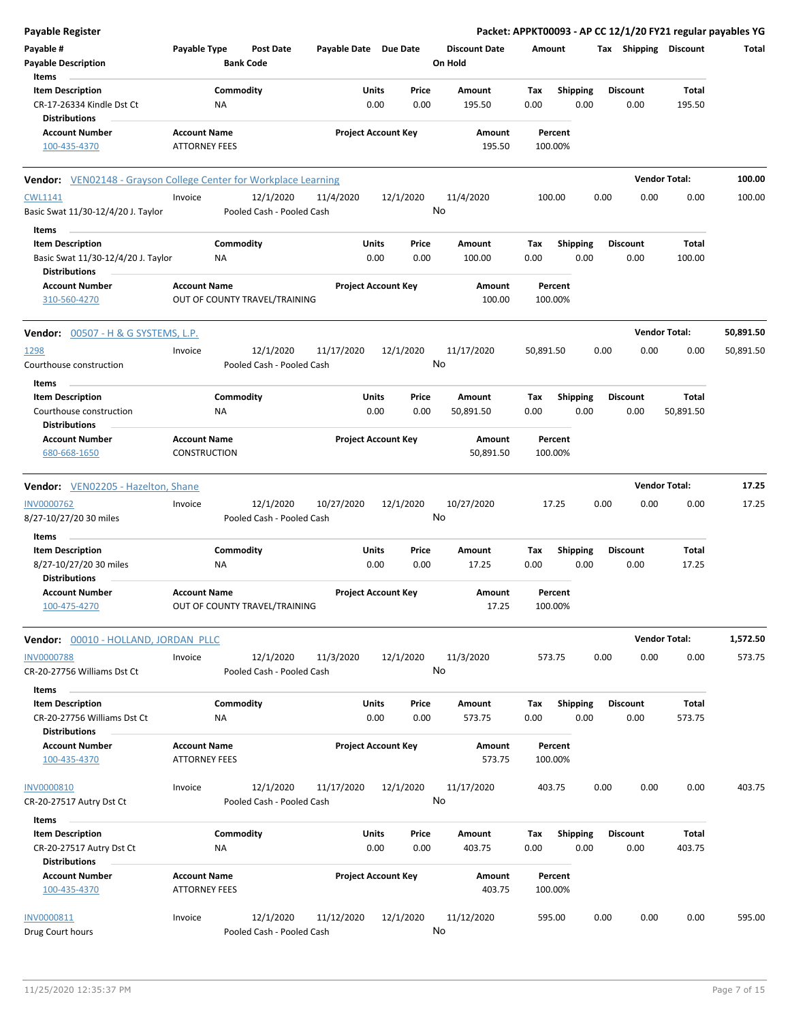| <b>Payable Register</b>                                                 |                                                      |                                        |                       |                            |                                 |             |                         |      |                         |                       | Packet: APPKT00093 - AP CC 12/1/20 FY21 regular payables YG |
|-------------------------------------------------------------------------|------------------------------------------------------|----------------------------------------|-----------------------|----------------------------|---------------------------------|-------------|-------------------------|------|-------------------------|-----------------------|-------------------------------------------------------------|
| Payable #<br><b>Payable Description</b>                                 | Payable Type                                         | <b>Post Date</b><br><b>Bank Code</b>   | Payable Date Due Date |                            | <b>Discount Date</b><br>On Hold |             | Amount                  |      |                         | Tax Shipping Discount | Total                                                       |
| Items<br><b>Item Description</b><br>CR-17-26334 Kindle Dst Ct           | Commodity<br>NA                                      |                                        | Units                 | Price<br>0.00<br>0.00      | Amount<br>195.50                | Tax<br>0.00 | <b>Shipping</b><br>0.00 |      | <b>Discount</b><br>0.00 | Total<br>195.50       |                                                             |
| <b>Distributions</b>                                                    |                                                      |                                        |                       |                            |                                 |             |                         |      |                         |                       |                                                             |
| <b>Account Number</b><br>100-435-4370                                   | <b>Account Name</b><br><b>ATTORNEY FEES</b>          |                                        |                       | <b>Project Account Key</b> | Amount<br>195.50                |             | Percent<br>100.00%      |      |                         |                       |                                                             |
| <b>Vendor:</b> VEN02148 - Grayson College Center for Workplace Learning |                                                      |                                        |                       |                            |                                 |             |                         |      |                         | <b>Vendor Total:</b>  | 100.00                                                      |
| <b>CWL1141</b><br>Basic Swat 11/30-12/4/20 J. Taylor                    | Invoice                                              | 12/1/2020<br>Pooled Cash - Pooled Cash | 11/4/2020             | 12/1/2020                  | 11/4/2020<br>No                 |             | 100.00                  | 0.00 | 0.00                    | 0.00                  | 100.00                                                      |
| Items<br><b>Item Description</b><br>Basic Swat 11/30-12/4/20 J. Taylor  | Commodity<br><b>NA</b>                               |                                        | Units                 | Price<br>0.00<br>0.00      | Amount<br>100.00                | Tax<br>0.00 | <b>Shipping</b><br>0.00 |      | <b>Discount</b><br>0.00 | Total<br>100.00       |                                                             |
| <b>Distributions</b><br><b>Account Number</b><br>310-560-4270           | <b>Account Name</b><br>OUT OF COUNTY TRAVEL/TRAINING |                                        |                       | <b>Project Account Key</b> | Amount<br>100.00                |             | Percent<br>100.00%      |      |                         |                       |                                                             |
| <b>Vendor:</b> $00507 - H & G SYSTEMS, L.P.$                            |                                                      |                                        |                       |                            |                                 |             |                         |      |                         | <b>Vendor Total:</b>  | 50,891.50                                                   |
| 1298<br>Courthouse construction                                         | Invoice                                              | 12/1/2020<br>Pooled Cash - Pooled Cash | 11/17/2020            | 12/1/2020                  | 11/17/2020<br>No                | 50,891.50   |                         | 0.00 | 0.00                    | 0.00                  | 50,891.50                                                   |
| Items<br><b>Item Description</b><br>Courthouse construction             | Commodity<br>ΝA                                      |                                        | Units                 | Price<br>0.00<br>0.00      | Amount<br>50,891.50             | Тах<br>0.00 | Shipping<br>0.00        |      | <b>Discount</b><br>0.00 | Total<br>50,891.50    |                                                             |
| <b>Distributions</b><br><b>Account Number</b><br>680-668-1650           | <b>Account Name</b><br>CONSTRUCTION                  |                                        |                       | <b>Project Account Key</b> | Amount<br>50,891.50             |             | Percent<br>100.00%      |      |                         |                       |                                                             |
| <b>Vendor:</b> VEN02205 - Hazelton, Shane                               |                                                      |                                        |                       |                            |                                 |             |                         |      |                         | <b>Vendor Total:</b>  | 17.25                                                       |
| <b>INV0000762</b><br>8/27-10/27/20 30 miles                             | Invoice                                              | 12/1/2020<br>Pooled Cash - Pooled Cash | 10/27/2020            | 12/1/2020                  | 10/27/2020<br>No                |             | 17.25                   | 0.00 | 0.00                    | 0.00                  | 17.25                                                       |
| Items<br><b>Item Description</b>                                        | Commodity                                            |                                        | Units                 | Price                      | Amount                          | Tax         | Shipping                |      | <b>Discount</b>         | Total                 |                                                             |
| 8/27-10/27/20 30 miles<br><b>Distributions</b>                          | ΝA                                                   |                                        |                       | 0.00<br>0.00               | 17.25                           | 0.00        | 0.00                    |      | 0.00                    | 17.25                 |                                                             |
| <b>Account Number</b><br>100-475-4270                                   | <b>Account Name</b><br>OUT OF COUNTY TRAVEL/TRAINING |                                        |                       | <b>Project Account Key</b> | Amount<br>17.25                 |             | Percent<br>100.00%      |      |                         |                       |                                                             |
| Vendor: 00010 - HOLLAND, JORDAN PLLC                                    |                                                      |                                        |                       |                            |                                 |             |                         |      |                         | <b>Vendor Total:</b>  | 1,572.50                                                    |
| <b>INV0000788</b><br>CR-20-27756 Williams Dst Ct                        | Invoice                                              | 12/1/2020<br>Pooled Cash - Pooled Cash | 11/3/2020             | 12/1/2020                  | 11/3/2020<br>No                 |             | 573.75                  | 0.00 | 0.00                    | 0.00                  | 573.75                                                      |
| <b>Items</b><br><b>Item Description</b><br>CR-20-27756 Williams Dst Ct  | Commodity<br>ΝA                                      |                                        | Units                 | Price<br>0.00<br>0.00      | Amount<br>573.75                | Tax<br>0.00 | <b>Shipping</b><br>0.00 |      | <b>Discount</b><br>0.00 | Total<br>573.75       |                                                             |
| <b>Distributions</b><br><b>Account Number</b><br>100-435-4370           | <b>Account Name</b><br><b>ATTORNEY FEES</b>          |                                        |                       | <b>Project Account Key</b> | Amount<br>573.75                |             | Percent<br>100.00%      |      |                         |                       |                                                             |
| <b>INV0000810</b><br>CR-20-27517 Autry Dst Ct                           | Invoice                                              | 12/1/2020<br>Pooled Cash - Pooled Cash | 11/17/2020            | 12/1/2020                  | 11/17/2020<br>No                |             | 403.75                  | 0.00 | 0.00                    | 0.00                  | 403.75                                                      |
| Items<br><b>Item Description</b>                                        | Commodity                                            |                                        | Units                 | Price                      | Amount                          | Tax         | <b>Shipping</b>         |      | <b>Discount</b>         | Total                 |                                                             |
| CR-20-27517 Autry Dst Ct<br><b>Distributions</b>                        | NA                                                   |                                        |                       | 0.00<br>0.00               | 403.75                          | 0.00        | 0.00                    |      | 0.00                    | 403.75                |                                                             |
| <b>Account Number</b><br>100-435-4370                                   | <b>Account Name</b><br><b>ATTORNEY FEES</b>          |                                        |                       | <b>Project Account Key</b> | Amount<br>403.75                |             | Percent<br>100.00%      |      |                         |                       |                                                             |
| INV0000811<br>Drug Court hours                                          | Invoice                                              | 12/1/2020<br>Pooled Cash - Pooled Cash | 11/12/2020            | 12/1/2020                  | 11/12/2020<br>No                |             | 595.00                  | 0.00 | 0.00                    | 0.00                  | 595.00                                                      |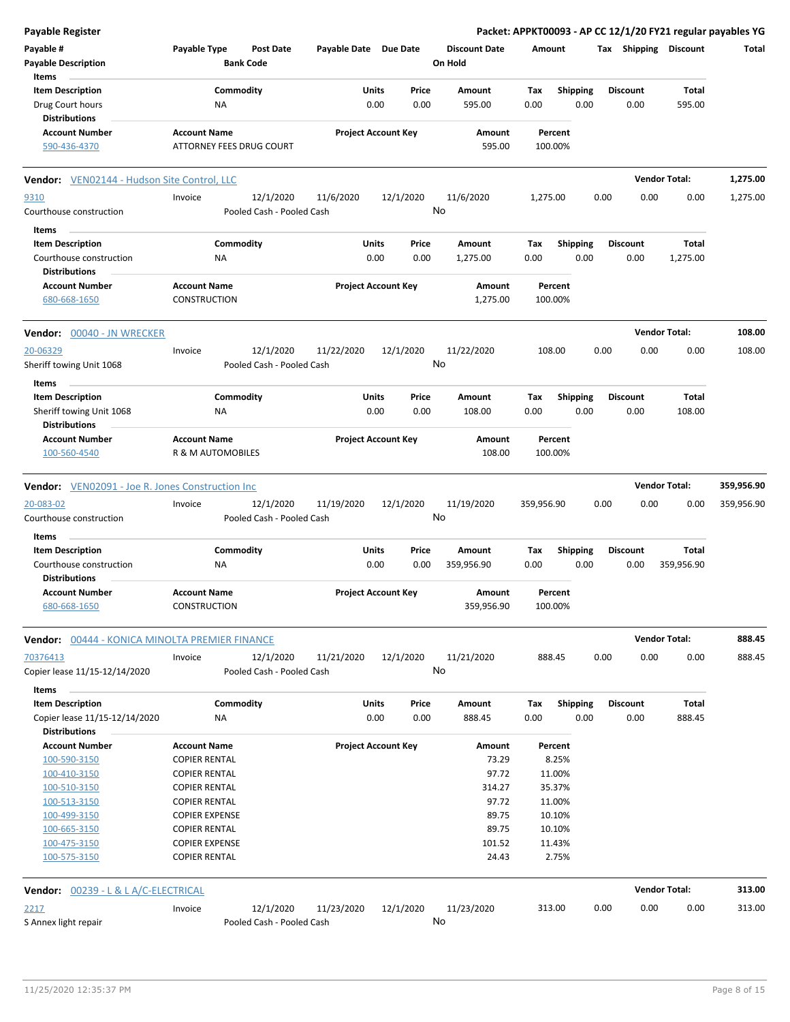| <b>Payable Register</b>                                 |                              |                           |                            |           |       |                      |            |                 |      |                 |                       | Packet: APPKT00093 - AP CC 12/1/20 FY21 regular payables YG |
|---------------------------------------------------------|------------------------------|---------------------------|----------------------------|-----------|-------|----------------------|------------|-----------------|------|-----------------|-----------------------|-------------------------------------------------------------|
| Payable #                                               | Payable Type                 | <b>Post Date</b>          | Payable Date Due Date      |           |       | <b>Discount Date</b> | Amount     |                 |      |                 | Tax Shipping Discount | Total                                                       |
| <b>Payable Description</b>                              |                              | <b>Bank Code</b>          |                            |           |       | On Hold              |            |                 |      |                 |                       |                                                             |
| Items                                                   |                              |                           |                            |           |       |                      |            |                 |      |                 |                       |                                                             |
| <b>Item Description</b>                                 | Commodity                    |                           | Units                      |           | Price | Amount               | Tax        | <b>Shipping</b> |      | <b>Discount</b> | Total                 |                                                             |
| Drug Court hours                                        | NA                           |                           | 0.00                       |           | 0.00  | 595.00               | 0.00       | 0.00            |      | 0.00            | 595.00                |                                                             |
| <b>Distributions</b>                                    |                              |                           |                            |           |       |                      |            |                 |      |                 |                       |                                                             |
| <b>Account Number</b>                                   | <b>Account Name</b>          |                           | <b>Project Account Key</b> |           |       | Amount               |            | Percent         |      |                 |                       |                                                             |
| 590-436-4370                                            | ATTORNEY FEES DRUG COURT     |                           |                            |           |       | 595.00               |            | 100.00%         |      |                 |                       |                                                             |
|                                                         |                              |                           |                            |           |       |                      |            |                 |      |                 |                       |                                                             |
| <b>Vendor:</b> VEN02144 - Hudson Site Control, LLC      |                              |                           |                            |           |       |                      |            |                 |      |                 | <b>Vendor Total:</b>  | 1,275.00                                                    |
| 9310                                                    | Invoice                      | 12/1/2020                 | 11/6/2020                  | 12/1/2020 |       | 11/6/2020            | 1,275.00   |                 | 0.00 | 0.00            | 0.00                  | 1,275.00                                                    |
| Courthouse construction                                 |                              | Pooled Cash - Pooled Cash |                            |           |       | No                   |            |                 |      |                 |                       |                                                             |
|                                                         |                              |                           |                            |           |       |                      |            |                 |      |                 |                       |                                                             |
| Items                                                   |                              |                           |                            |           |       |                      |            |                 |      |                 |                       |                                                             |
| <b>Item Description</b>                                 | Commodity                    |                           | Units                      |           | Price | Amount               | Tax        | <b>Shipping</b> |      | <b>Discount</b> | Total                 |                                                             |
| Courthouse construction                                 | ΝA                           |                           | 0.00                       |           | 0.00  | 1,275.00             | 0.00       | 0.00            |      | 0.00            | 1,275.00              |                                                             |
| <b>Distributions</b>                                    |                              |                           |                            |           |       |                      |            |                 |      |                 |                       |                                                             |
| <b>Account Number</b>                                   | <b>Account Name</b>          |                           | <b>Project Account Key</b> |           |       | Amount               |            | Percent         |      |                 |                       |                                                             |
| 680-668-1650                                            | CONSTRUCTION                 |                           |                            |           |       | 1,275.00             |            | 100.00%         |      |                 |                       |                                                             |
| <b>Vendor: 00040 - JN WRECKER</b>                       |                              |                           |                            |           |       |                      |            |                 |      |                 | <b>Vendor Total:</b>  | 108.00                                                      |
|                                                         |                              |                           |                            |           |       |                      |            |                 |      |                 |                       |                                                             |
| 20-06329                                                | Invoice                      | 12/1/2020                 | 11/22/2020                 | 12/1/2020 |       | 11/22/2020           |            | 108.00          | 0.00 | 0.00            | 0.00                  | 108.00                                                      |
| Sheriff towing Unit 1068                                |                              | Pooled Cash - Pooled Cash |                            |           |       | No                   |            |                 |      |                 |                       |                                                             |
| Items                                                   |                              |                           |                            |           |       |                      |            |                 |      |                 |                       |                                                             |
| <b>Item Description</b>                                 | Commodity                    |                           | Units                      |           | Price | Amount               | Tax        | Shipping        |      | <b>Discount</b> | Total                 |                                                             |
| Sheriff towing Unit 1068                                | ΝA                           |                           | 0.00                       |           | 0.00  | 108.00               | 0.00       | 0.00            |      | 0.00            | 108.00                |                                                             |
| <b>Distributions</b>                                    |                              |                           |                            |           |       |                      |            |                 |      |                 |                       |                                                             |
| <b>Account Number</b>                                   | <b>Account Name</b>          |                           | <b>Project Account Key</b> |           |       | Amount               |            | Percent         |      |                 |                       |                                                             |
| 100-560-4540                                            | <b>R &amp; M AUTOMOBILES</b> |                           |                            |           |       | 108.00               |            | 100.00%         |      |                 |                       |                                                             |
|                                                         |                              |                           |                            |           |       |                      |            |                 |      |                 |                       |                                                             |
| <b>Vendor:</b> VEN02091 - Joe R. Jones Construction Inc |                              |                           |                            |           |       |                      |            |                 |      |                 | <b>Vendor Total:</b>  | 359,956.90                                                  |
| 20-083-02                                               | Invoice                      | 12/1/2020                 | 11/19/2020                 | 12/1/2020 |       | 11/19/2020           | 359,956.90 |                 | 0.00 | 0.00            | 0.00                  | 359,956.90                                                  |
| Courthouse construction                                 |                              | Pooled Cash - Pooled Cash |                            |           |       | No                   |            |                 |      |                 |                       |                                                             |
|                                                         |                              |                           |                            |           |       |                      |            |                 |      |                 |                       |                                                             |
| Items                                                   |                              |                           |                            |           |       |                      |            |                 |      |                 |                       |                                                             |
| <b>Item Description</b>                                 | Commodity                    |                           | Units                      |           | Price | Amount               | Tax        | <b>Shipping</b> |      | <b>Discount</b> | Total                 |                                                             |
| Courthouse construction                                 | ΝA                           |                           | 0.00                       |           | 0.00  | 359,956.90           | 0.00       | 0.00            |      | 0.00            | 359,956.90            |                                                             |
| <b>Distributions</b>                                    |                              |                           |                            |           |       |                      |            |                 |      |                 |                       |                                                             |
| <b>Account Number</b>                                   | <b>Account Name</b>          |                           | <b>Project Account Key</b> |           |       | Amount               |            | Percent         |      |                 |                       |                                                             |
| 680-668-1650                                            | <b>CONSTRUCTION</b>          |                           |                            |           |       | 359,956.90           |            | 100.00%         |      |                 |                       |                                                             |
| Vendor: 00444 - KONICA MINOLTA PREMIER FINANCE          |                              |                           |                            |           |       |                      |            |                 |      |                 | <b>Vendor Total:</b>  | 888.45                                                      |
|                                                         |                              |                           |                            |           |       |                      |            | 888.45          | 0.00 | 0.00            | 0.00                  | 888.45                                                      |
| 70376413                                                | Invoice                      | 12/1/2020                 | 11/21/2020                 | 12/1/2020 |       | 11/21/2020<br>No     |            |                 |      |                 |                       |                                                             |
| Copier lease 11/15-12/14/2020                           |                              | Pooled Cash - Pooled Cash |                            |           |       |                      |            |                 |      |                 |                       |                                                             |
| Items                                                   |                              |                           |                            |           |       |                      |            |                 |      |                 |                       |                                                             |
| <b>Item Description</b>                                 | Commodity                    |                           | Units                      |           | Price | Amount               | Tax        | <b>Shipping</b> |      | <b>Discount</b> | <b>Total</b>          |                                                             |
| Copier lease 11/15-12/14/2020                           | NA                           |                           |                            | 0.00      | 0.00  | 888.45               | 0.00       | 0.00            |      | 0.00            | 888.45                |                                                             |
| <b>Distributions</b>                                    |                              |                           |                            |           |       |                      |            |                 |      |                 |                       |                                                             |
| <b>Account Number</b>                                   | <b>Account Name</b>          |                           | <b>Project Account Key</b> |           |       | Amount               |            | Percent         |      |                 |                       |                                                             |
| 100-590-3150                                            | <b>COPIER RENTAL</b>         |                           |                            |           |       | 73.29                |            | 8.25%           |      |                 |                       |                                                             |
| 100-410-3150                                            | <b>COPIER RENTAL</b>         |                           |                            |           |       | 97.72                |            | 11.00%          |      |                 |                       |                                                             |
| 100-510-3150                                            | <b>COPIER RENTAL</b>         |                           |                            |           |       | 314.27               |            | 35.37%          |      |                 |                       |                                                             |
| 100-513-3150                                            | <b>COPIER RENTAL</b>         |                           |                            |           |       | 97.72                |            | 11.00%          |      |                 |                       |                                                             |
| 100-499-3150                                            | <b>COPIER EXPENSE</b>        |                           |                            |           |       | 89.75                |            | 10.10%          |      |                 |                       |                                                             |
| 100-665-3150                                            | <b>COPIER RENTAL</b>         |                           |                            |           |       | 89.75                |            | 10.10%          |      |                 |                       |                                                             |
| 100-475-3150                                            | <b>COPIER EXPENSE</b>        |                           |                            |           |       | 101.52               |            | 11.43%          |      |                 |                       |                                                             |
| 100-575-3150                                            | <b>COPIER RENTAL</b>         |                           |                            |           |       | 24.43                |            | 2.75%           |      |                 |                       |                                                             |
|                                                         |                              |                           |                            |           |       |                      |            |                 |      |                 |                       |                                                             |
| <b>Vendor: 00239 - L &amp; L A/C-ELECTRICAL</b>         |                              |                           |                            |           |       |                      |            |                 |      |                 | <b>Vendor Total:</b>  | 313.00                                                      |
| 2217                                                    | Invoice                      | 12/1/2020                 | 11/23/2020                 | 12/1/2020 |       | 11/23/2020           |            | 313.00          | 0.00 | 0.00            | 0.00                  | 313.00                                                      |
| S Annex light repair                                    |                              | Pooled Cash - Pooled Cash |                            |           |       | No                   |            |                 |      |                 |                       |                                                             |
|                                                         |                              |                           |                            |           |       |                      |            |                 |      |                 |                       |                                                             |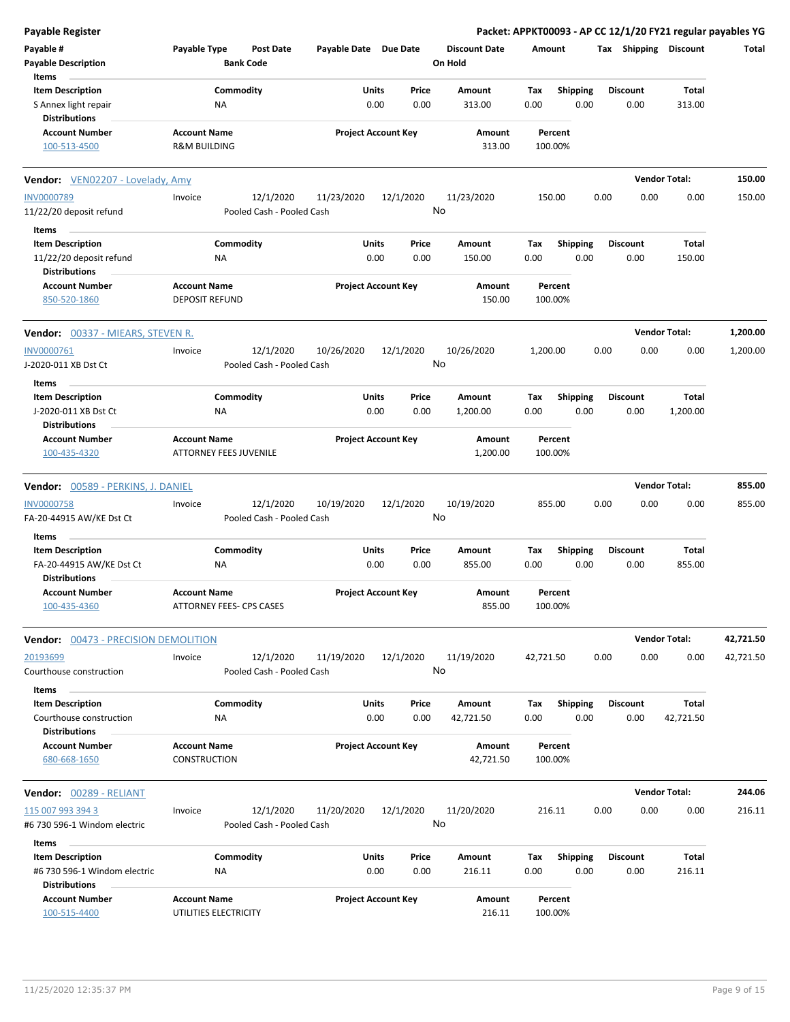| <b>Payable Register</b>                          |                                                      |                            |                      | Packet: APPKT00093 - AP CC 12/1/20 FY21 regular payables YG |                 |                      |           |
|--------------------------------------------------|------------------------------------------------------|----------------------------|----------------------|-------------------------------------------------------------|-----------------|----------------------|-----------|
| Payable #                                        | Payable Type<br><b>Post Date</b>                     | Payable Date Due Date      | <b>Discount Date</b> | Amount                                                      | Tax Shipping    | <b>Discount</b>      | Total     |
| <b>Payable Description</b>                       | <b>Bank Code</b>                                     |                            | On Hold              |                                                             |                 |                      |           |
| Items                                            |                                                      |                            |                      |                                                             |                 |                      |           |
| <b>Item Description</b>                          | Commodity                                            | Units<br>Price             | Amount               | Shipping<br>Tax                                             | <b>Discount</b> | Total                |           |
| S Annex light repair<br><b>Distributions</b>     | ΝA                                                   | 0.00<br>0.00               | 313.00               | 0.00<br>0.00                                                | 0.00            | 313.00               |           |
| <b>Account Number</b>                            | <b>Account Name</b>                                  | <b>Project Account Key</b> | Amount               | Percent                                                     |                 |                      |           |
| 100-513-4500                                     | R&M BUILDING                                         |                            | 313.00               | 100.00%                                                     |                 |                      |           |
| <b>Vendor:</b> VEN02207 - Lovelady, Amy          |                                                      |                            |                      |                                                             |                 | <b>Vendor Total:</b> | 150.00    |
| <b>INV0000789</b>                                | 12/1/2020<br>Invoice                                 | 11/23/2020<br>12/1/2020    | 11/23/2020           | 150.00                                                      | 0.00<br>0.00    | 0.00                 | 150.00    |
| 11/22/20 deposit refund                          | Pooled Cash - Pooled Cash                            |                            | No                   |                                                             |                 |                      |           |
| Items                                            |                                                      |                            |                      |                                                             |                 |                      |           |
| <b>Item Description</b>                          | Commodity                                            | Units<br>Price             | Amount               | Shipping<br>Tax                                             | <b>Discount</b> | Total                |           |
| 11/22/20 deposit refund<br><b>Distributions</b>  | ΝA                                                   | 0.00<br>0.00               | 150.00               | 0.00<br>0.00                                                | 0.00            | 150.00               |           |
| <b>Account Number</b>                            | <b>Account Name</b>                                  | <b>Project Account Key</b> | Amount               | Percent                                                     |                 |                      |           |
| 850-520-1860                                     | <b>DEPOSIT REFUND</b>                                |                            | 150.00               | 100.00%                                                     |                 |                      |           |
| <b>Vendor: 00337 - MIEARS, STEVEN R.</b>         |                                                      |                            |                      |                                                             |                 | <b>Vendor Total:</b> | 1,200.00  |
| INV0000761                                       | 12/1/2020<br>Invoice                                 | 12/1/2020<br>10/26/2020    | 10/26/2020           | 1,200.00                                                    | 0.00<br>0.00    | 0.00                 | 1,200.00  |
| J-2020-011 XB Dst Ct                             | Pooled Cash - Pooled Cash                            |                            | No                   |                                                             |                 |                      |           |
|                                                  |                                                      |                            |                      |                                                             |                 |                      |           |
| Items                                            | Commodity                                            | Units<br>Price             | Amount               | <b>Shipping</b><br>Tax                                      | <b>Discount</b> | Total                |           |
| <b>Item Description</b>                          |                                                      |                            |                      |                                                             |                 |                      |           |
| J-2020-011 XB Dst Ct                             | ΝA                                                   | 0.00<br>0.00               | 1,200.00             | 0.00<br>0.00                                                | 0.00            | 1,200.00             |           |
| <b>Distributions</b>                             |                                                      |                            |                      |                                                             |                 |                      |           |
| <b>Account Number</b><br>100-435-4320            | <b>Account Name</b><br><b>ATTORNEY FEES JUVENILE</b> | <b>Project Account Key</b> | Amount<br>1,200.00   | Percent<br>100.00%                                          |                 |                      |           |
| Vendor: 00589 - PERKINS, J. DANIEL               |                                                      |                            |                      |                                                             |                 | <b>Vendor Total:</b> | 855.00    |
| <b>INV0000758</b>                                | 12/1/2020<br>Invoice                                 | 12/1/2020<br>10/19/2020    | 10/19/2020           | 855.00                                                      | 0.00<br>0.00    | 0.00                 | 855.00    |
| FA-20-44915 AW/KE Dst Ct                         | Pooled Cash - Pooled Cash                            |                            | No                   |                                                             |                 |                      |           |
|                                                  |                                                      |                            |                      |                                                             |                 |                      |           |
| Items                                            |                                                      |                            |                      |                                                             |                 |                      |           |
| <b>Item Description</b>                          | Commodity                                            | Units<br>Price             | Amount               | Tax<br><b>Shipping</b>                                      | <b>Discount</b> | Total                |           |
| FA-20-44915 AW/KE Dst Ct<br><b>Distributions</b> | ΝA                                                   | 0.00<br>0.00               | 855.00               | 0.00<br>0.00                                                | 0.00            | 855.00               |           |
| <b>Account Number</b><br>100-435-4360            | <b>Account Name</b><br>ATTORNEY FEES- CPS CASES      | <b>Project Account Key</b> | Amount<br>855.00     | Percent<br>100.00%                                          |                 |                      |           |
| Vendor: 00473 - PRECISION DEMOLITION             |                                                      |                            |                      |                                                             |                 | <b>Vendor Total:</b> | 42,721.50 |
|                                                  |                                                      |                            |                      |                                                             |                 |                      |           |
| 20193699<br>Courthouse construction              | Invoice<br>12/1/2020<br>Pooled Cash - Pooled Cash    | 11/19/2020<br>12/1/2020    | 11/19/2020<br>No     | 42,721.50                                                   | 0.00<br>0.00    | 0.00                 | 42,721.50 |
| Items                                            |                                                      |                            |                      |                                                             |                 |                      |           |
| <b>Item Description</b>                          | Commodity                                            | Units<br>Price             | Amount               | <b>Shipping</b><br>Tax                                      | <b>Discount</b> | Total                |           |
| Courthouse construction<br><b>Distributions</b>  | NA                                                   | 0.00<br>0.00               | 42,721.50            | 0.00<br>0.00                                                | 0.00            | 42,721.50            |           |
| <b>Account Number</b>                            | <b>Account Name</b>                                  | <b>Project Account Key</b> | Amount               | Percent                                                     |                 |                      |           |
| 680-668-1650                                     | <b>CONSTRUCTION</b>                                  |                            | 42,721.50            | 100.00%                                                     |                 |                      |           |
| Vendor: 00289 - RELIANT                          |                                                      |                            |                      |                                                             |                 | <b>Vendor Total:</b> | 244.06    |
| 115 007 993 394 3                                | 12/1/2020<br>Invoice                                 | 11/20/2020<br>12/1/2020    | 11/20/2020           | 216.11                                                      | 0.00<br>0.00    | 0.00                 | 216.11    |
| #6 730 596-1 Windom electric                     | Pooled Cash - Pooled Cash                            |                            | No                   |                                                             |                 |                      |           |
|                                                  |                                                      |                            |                      |                                                             |                 |                      |           |
| Items                                            |                                                      |                            |                      |                                                             |                 |                      |           |
| <b>Item Description</b>                          | Commodity                                            | Units<br>Price             | Amount               | <b>Shipping</b><br>Tax                                      | <b>Discount</b> | Total                |           |
| #6 730 596-1 Windom electric                     | <b>NA</b>                                            | 0.00<br>0.00               | 216.11               | 0.00<br>0.00                                                | 0.00            | 216.11               |           |
| <b>Distributions</b>                             |                                                      |                            |                      |                                                             |                 |                      |           |
| <b>Account Number</b><br>100-515-4400            | <b>Account Name</b><br>UTILITIES ELECTRICITY         | <b>Project Account Key</b> | Amount<br>216.11     | Percent<br>100.00%                                          |                 |                      |           |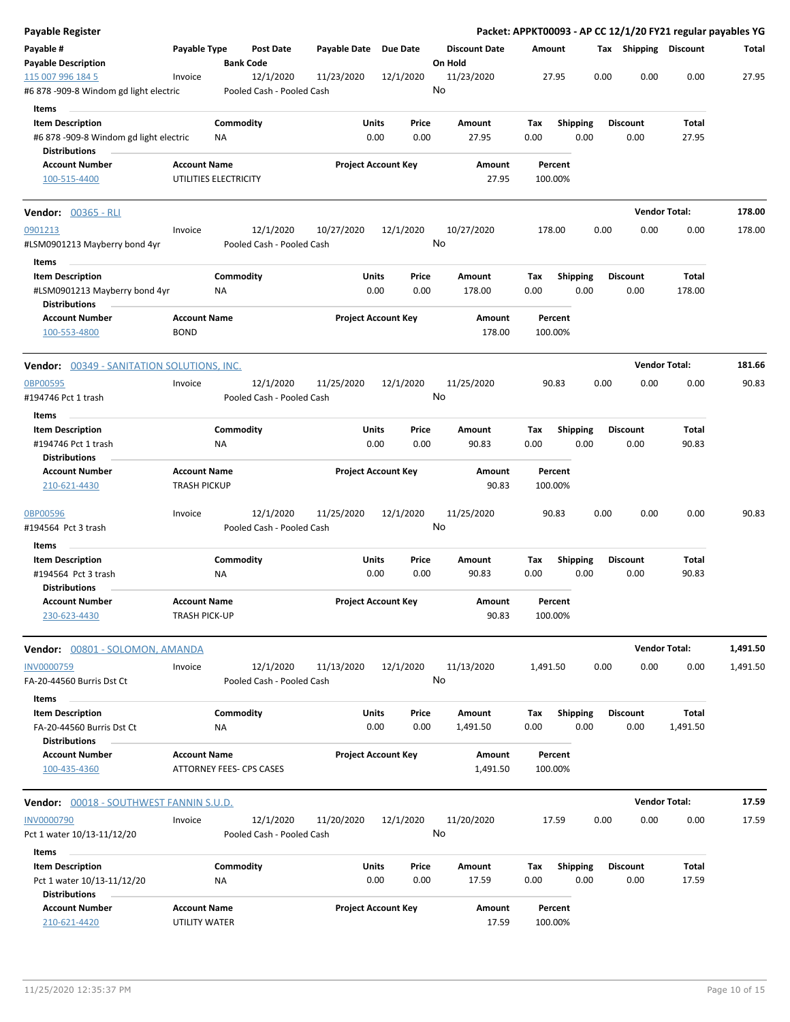| <b>Payable Register</b>                                                               |                                              |                        |                                        |                       |                            |         |                      |             |                 |      | Packet: APPKT00093 - AP CC 12/1/20 FY21 regular payables YG |                      |          |
|---------------------------------------------------------------------------------------|----------------------------------------------|------------------------|----------------------------------------|-----------------------|----------------------------|---------|----------------------|-------------|-----------------|------|-------------------------------------------------------------|----------------------|----------|
| Payable #<br><b>Payable Description</b>                                               | Payable Type                                 | <b>Bank Code</b>       | Post Date                              | Payable Date Due Date |                            | On Hold | <b>Discount Date</b> | Amount      |                 |      | Tax Shipping Discount                                       |                      | Total    |
| 115 007 996 184 5<br>#6 878 -909-8 Windom gd light electric                           | Invoice                                      |                        | 12/1/2020<br>Pooled Cash - Pooled Cash | 11/23/2020            | 12/1/2020                  | No      | 11/23/2020           |             | 27.95           | 0.00 | 0.00                                                        | 0.00                 | 27.95    |
| Items<br><b>Item Description</b><br>#6 878 -909-8 Windom gd light electric            |                                              | Commodity<br>ΝA        |                                        | Units                 | Price<br>0.00<br>0.00      |         | Amount<br>27.95      | Tax<br>0.00 | <b>Shipping</b> | 0.00 | Discount<br>0.00                                            | Total<br>27.95       |          |
| <b>Distributions</b><br><b>Account Number</b><br>100-515-4400                         | <b>Account Name</b><br>UTILITIES ELECTRICITY |                        |                                        |                       | <b>Project Account Key</b> |         | Amount<br>27.95      | 100.00%     | Percent         |      |                                                             |                      |          |
| <b>Vendor: 00365 - RLI</b>                                                            |                                              |                        |                                        |                       |                            |         |                      |             |                 |      |                                                             | <b>Vendor Total:</b> | 178.00   |
| 0901213<br>#LSM0901213 Mayberry bond 4yr<br>Items                                     | Invoice                                      |                        | 12/1/2020<br>Pooled Cash - Pooled Cash | 10/27/2020            | 12/1/2020                  | No      | 10/27/2020           | 178.00      |                 | 0.00 | 0.00                                                        | 0.00                 | 178.00   |
| <b>Item Description</b><br>#LSM0901213 Mayberry bond 4yr<br><b>Distributions</b>      |                                              | Commodity<br><b>NA</b> |                                        | Units                 | Price<br>0.00<br>0.00      |         | Amount<br>178.00     | Tax<br>0.00 | Shipping        | 0.00 | <b>Discount</b><br>0.00                                     | Total<br>178.00      |          |
| <b>Account Number</b><br>100-553-4800                                                 | <b>Account Name</b><br><b>BOND</b>           |                        |                                        |                       | <b>Project Account Key</b> |         | Amount<br>178.00     | 100.00%     | Percent         |      |                                                             |                      |          |
| Vendor: 00349 - SANITATION SOLUTIONS, INC.                                            |                                              |                        |                                        |                       |                            |         |                      |             |                 |      |                                                             | <b>Vendor Total:</b> | 181.66   |
| 0BP00595<br>#194746 Pct 1 trash                                                       | Invoice                                      |                        | 12/1/2020<br>Pooled Cash - Pooled Cash | 11/25/2020            | 12/1/2020                  | No      | 11/25/2020           |             | 90.83           | 0.00 | 0.00                                                        | 0.00                 | 90.83    |
| Items<br><b>Item Description</b><br>#194746 Pct 1 trash<br><b>Distributions</b>       |                                              | Commodity<br>ΝA        |                                        | Units                 | Price<br>0.00<br>0.00      |         | Amount<br>90.83      | Tax<br>0.00 | <b>Shipping</b> | 0.00 | <b>Discount</b><br>0.00                                     | Total<br>90.83       |          |
| <b>Account Number</b><br>210-621-4430                                                 | <b>Account Name</b><br><b>TRASH PICKUP</b>   |                        |                                        |                       | <b>Project Account Key</b> |         | Amount<br>90.83      | 100.00%     | Percent         |      |                                                             |                      |          |
| <b>OBP00596</b><br>#194564 Pct 3 trash                                                | Invoice                                      |                        | 12/1/2020<br>Pooled Cash - Pooled Cash | 11/25/2020            | 12/1/2020                  | No      | 11/25/2020           |             | 90.83           | 0.00 | 0.00                                                        | 0.00                 | 90.83    |
| Items<br><b>Item Description</b>                                                      |                                              | Commodity              |                                        | Units                 | Price                      |         | Amount               | Tax         |                 |      | <b>Discount</b>                                             | Total                |          |
| #194564 Pct 3 trash<br><b>Distributions</b>                                           |                                              | ΝA                     |                                        |                       | 0.00<br>0.00               |         | 90.83                | 0.00        | <b>Shipping</b> | 0.00 | 0.00                                                        | 90.83                |          |
| <b>Account Number</b><br>230-623-4430                                                 | <b>Account Name</b><br><b>TRASH PICK-UP</b>  |                        |                                        |                       | <b>Project Account Key</b> |         | Amount<br>90.83      | 100.00%     | Percent         |      |                                                             |                      |          |
| Vendor: 00801 - SOLOMON, AMANDA                                                       |                                              |                        |                                        |                       |                            |         |                      |             |                 |      |                                                             | <b>Vendor Total:</b> | 1,491.50 |
| INV0000759<br>FA-20-44560 Burris Dst Ct                                               | Invoice                                      |                        | 12/1/2020<br>Pooled Cash - Pooled Cash | 11/13/2020            | 12/1/2020                  | No      | 11/13/2020           | 1,491.50    |                 | 0.00 | 0.00                                                        | 0.00                 | 1,491.50 |
| Items<br><b>Item Description</b><br>FA-20-44560 Burris Dst Ct<br><b>Distributions</b> |                                              | Commodity<br>NA        |                                        | Units                 | Price<br>0.00<br>0.00      |         | Amount<br>1,491.50   | Tax<br>0.00 | Shipping        | 0.00 | <b>Discount</b><br>0.00                                     | Total<br>1,491.50    |          |
| <b>Account Number</b><br>100-435-4360                                                 | <b>Account Name</b>                          |                        | ATTORNEY FEES- CPS CASES               |                       | <b>Project Account Key</b> |         | Amount<br>1,491.50   | 100.00%     | Percent         |      |                                                             |                      |          |
| Vendor: 00018 - SOUTHWEST FANNIN S.U.D.                                               |                                              |                        |                                        |                       |                            |         |                      |             |                 |      |                                                             | <b>Vendor Total:</b> | 17.59    |
| <b>INV0000790</b><br>Pct 1 water 10/13-11/12/20                                       | Invoice                                      |                        | 12/1/2020<br>Pooled Cash - Pooled Cash | 11/20/2020            | 12/1/2020                  | No      | 11/20/2020           |             | 17.59           | 0.00 | 0.00                                                        | 0.00                 | 17.59    |
| Items<br><b>Item Description</b>                                                      |                                              | Commodity              |                                        | Units                 | Price                      |         | Amount               | Tax         | <b>Shipping</b> |      | <b>Discount</b>                                             | Total                |          |
| Pct 1 water 10/13-11/12/20<br><b>Distributions</b>                                    |                                              | NA                     |                                        |                       | 0.00<br>0.00               |         | 17.59                | 0.00        |                 | 0.00 | 0.00                                                        | 17.59                |          |
| <b>Account Number</b><br>210-621-4420                                                 | <b>Account Name</b><br>UTILITY WATER         |                        |                                        |                       | <b>Project Account Key</b> |         | Amount<br>17.59      | 100.00%     | Percent         |      |                                                             |                      |          |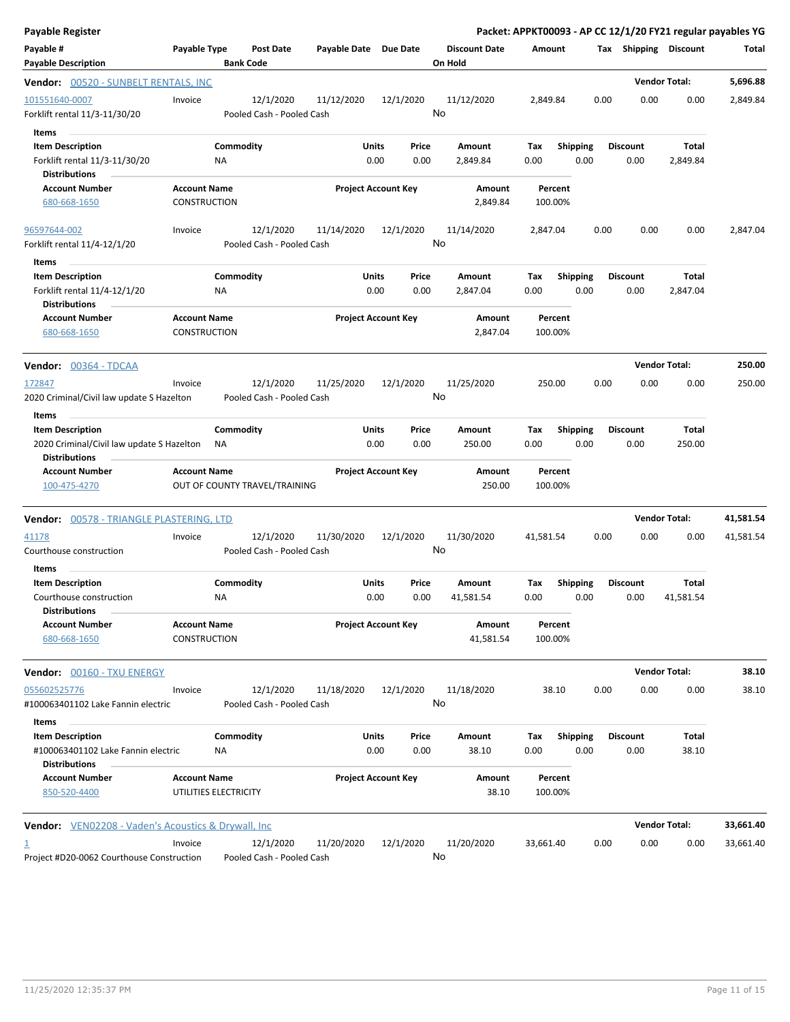| <b>Payable Register</b>                                                                      |                                              |                                        |                       |                                |                                 | Packet: APPKT00093 - AP CC 12/1/20 FY21 regular payables YG |                         |                         |                      |           |
|----------------------------------------------------------------------------------------------|----------------------------------------------|----------------------------------------|-----------------------|--------------------------------|---------------------------------|-------------------------------------------------------------|-------------------------|-------------------------|----------------------|-----------|
| Payable #<br><b>Payable Description</b>                                                      | Payable Type                                 | <b>Post Date</b><br><b>Bank Code</b>   | Payable Date Due Date |                                | <b>Discount Date</b><br>On Hold | Amount                                                      |                         | Tax Shipping Discount   |                      | Total     |
| <b>Vendor:</b> 00520 - SUNBELT RENTALS, INC                                                  |                                              |                                        |                       |                                |                                 |                                                             |                         |                         | <b>Vendor Total:</b> | 5,696.88  |
| 101551640-0007<br>Forklift rental 11/3-11/30/20                                              | Invoice                                      | 12/1/2020<br>Pooled Cash - Pooled Cash | 11/12/2020            | 12/1/2020                      | 11/12/2020<br>No                | 2,849.84                                                    | 0.00                    | 0.00                    | 0.00                 | 2,849.84  |
| Items<br><b>Item Description</b><br>Forklift rental 11/3-11/30/20<br><b>Distributions</b>    | ΝA                                           | Commodity                              |                       | Units<br>Price<br>0.00<br>0.00 | Amount<br>2,849.84              | Tax<br>0.00                                                 | <b>Shipping</b><br>0.00 | <b>Discount</b><br>0.00 | Total<br>2,849.84    |           |
| <b>Account Number</b><br>680-668-1650                                                        | <b>Account Name</b><br><b>CONSTRUCTION</b>   |                                        |                       | <b>Project Account Key</b>     | Amount<br>2,849.84              | Percent<br>100.00%                                          |                         |                         |                      |           |
| 96597644-002<br>Forklift rental 11/4-12/1/20<br>Items                                        | Invoice                                      | 12/1/2020<br>Pooled Cash - Pooled Cash | 11/14/2020            | 12/1/2020                      | 11/14/2020<br>No                | 2,847.04                                                    | 0.00                    | 0.00                    | 0.00                 | 2,847.04  |
| <b>Item Description</b><br>Forklift rental 11/4-12/1/20<br><b>Distributions</b>              | <b>NA</b>                                    | Commodity                              |                       | Units<br>Price<br>0.00<br>0.00 | Amount<br>2,847.04              | Tax<br>0.00                                                 | <b>Shipping</b><br>0.00 | <b>Discount</b><br>0.00 | Total<br>2,847.04    |           |
| <b>Account Number</b><br>680-668-1650                                                        | <b>Account Name</b><br><b>CONSTRUCTION</b>   |                                        |                       | <b>Project Account Key</b>     | Amount<br>2,847.04              | Percent<br>100.00%                                          |                         |                         |                      |           |
| <b>Vendor:</b> 00364 - TDCAA                                                                 |                                              |                                        |                       |                                |                                 |                                                             |                         |                         | <b>Vendor Total:</b> | 250.00    |
| 172847<br>2020 Criminal/Civil law update S Hazelton<br>Items                                 | Invoice                                      | 12/1/2020<br>Pooled Cash - Pooled Cash | 11/25/2020            | 12/1/2020                      | 11/25/2020<br>No                | 250.00                                                      | 0.00                    | 0.00                    | 0.00                 | 250.00    |
| <b>Item Description</b><br>2020 Criminal/Civil law update S Hazelton<br><b>Distributions</b> | ΝA                                           | Commodity                              |                       | Units<br>Price<br>0.00<br>0.00 | Amount<br>250.00                | Tax<br>0.00                                                 | <b>Shipping</b><br>0.00 | <b>Discount</b><br>0.00 | Total<br>250.00      |           |
| <b>Account Number</b><br>100-475-4270                                                        | <b>Account Name</b>                          | OUT OF COUNTY TRAVEL/TRAINING          |                       | <b>Project Account Key</b>     | Amount<br>250.00                | Percent<br>100.00%                                          |                         |                         |                      |           |
| <b>Vendor:</b> 00578 - TRIANGLE PLASTERING, LTD                                              |                                              |                                        |                       |                                |                                 |                                                             |                         |                         | <b>Vendor Total:</b> | 41,581.54 |
| 41178<br>Courthouse construction                                                             | Invoice                                      | 12/1/2020<br>Pooled Cash - Pooled Cash | 11/30/2020            | 12/1/2020                      | 11/30/2020<br>No                | 41,581.54                                                   | 0.00                    | 0.00                    | 0.00                 | 41,581.54 |
| Items<br><b>Item Description</b>                                                             |                                              | Commodity                              |                       | Units<br>Price                 | Amount                          | Tax                                                         | <b>Shipping</b>         | <b>Discount</b>         | Total                |           |
| Courthouse construction<br><b>Distributions</b>                                              | ΝA                                           |                                        |                       | 0.00<br>0.00                   | 41,581.54                       | 0.00                                                        | 0.00                    | 0.00                    | 41,581.54            |           |
| <b>Account Number</b><br>680-668-1650                                                        | <b>Account Name</b><br>CONSTRUCTION          |                                        |                       | <b>Project Account Key</b>     | Amount<br>41,581.54             | Percent<br>100.00%                                          |                         |                         |                      |           |
| <b>Vendor:</b> 00160 - TXU ENERGY                                                            |                                              |                                        |                       |                                |                                 |                                                             |                         |                         | <b>Vendor Total:</b> | 38.10     |
| 055602525776<br>#100063401102 Lake Fannin electric                                           | Invoice                                      | 12/1/2020<br>Pooled Cash - Pooled Cash | 11/18/2020            | 12/1/2020                      | 11/18/2020<br>No                | 38.10                                                       | 0.00                    | 0.00                    | 0.00                 | 38.10     |
| Items<br><b>Item Description</b>                                                             |                                              | Commodity                              |                       | Units<br>Price                 | Amount                          | Tax                                                         | <b>Shipping</b>         | <b>Discount</b>         | Total                |           |
| #100063401102 Lake Fannin electric<br><b>Distributions</b>                                   | ΝA                                           |                                        |                       | 0.00<br>0.00                   | 38.10                           | 0.00                                                        | 0.00                    | 0.00                    | 38.10                |           |
| <b>Account Number</b><br>850-520-4400                                                        | <b>Account Name</b><br>UTILITIES ELECTRICITY |                                        |                       | <b>Project Account Key</b>     | Amount<br>38.10                 | Percent<br>100.00%                                          |                         |                         |                      |           |
| <b>Vendor:</b> VEN02208 - Vaden's Acoustics & Drywall, Inc                                   |                                              |                                        |                       |                                |                                 |                                                             |                         |                         | <b>Vendor Total:</b> | 33,661.40 |
| Project #D20-0062 Courthouse Construction                                                    | Invoice                                      | 12/1/2020<br>Pooled Cash - Pooled Cash | 11/20/2020            | 12/1/2020                      | 11/20/2020<br>No                | 33,661.40                                                   | 0.00                    | 0.00                    | 0.00                 | 33,661.40 |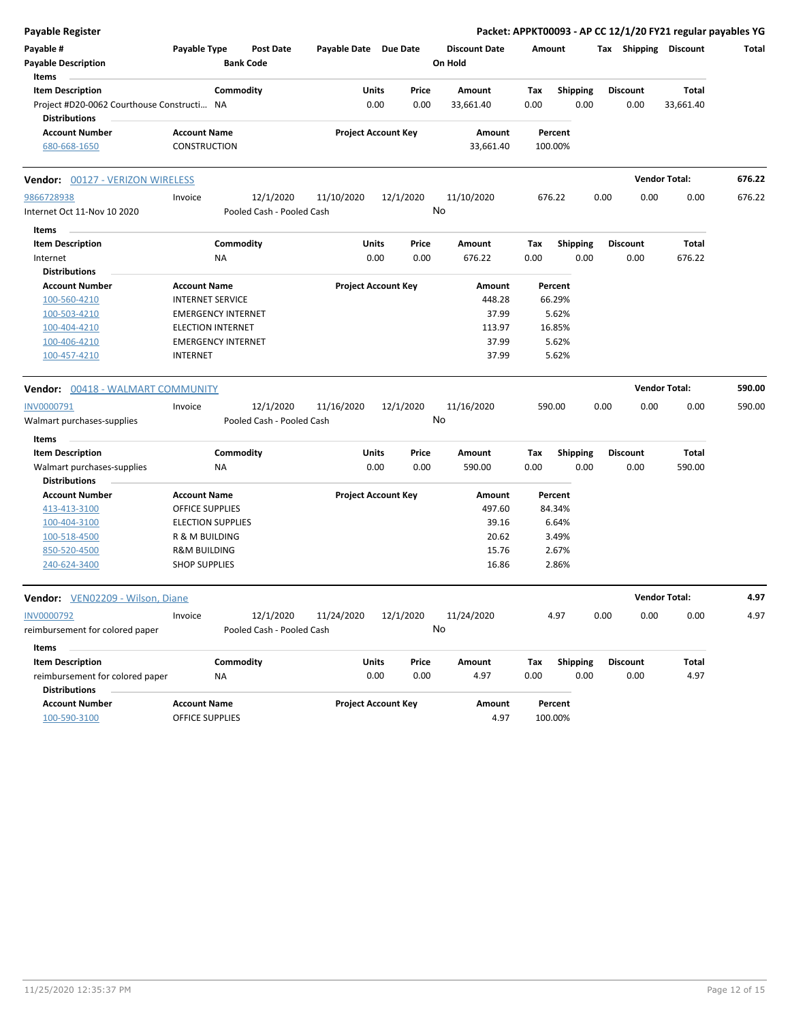| Payable Register                                                   |                                            |                               |                       |                            |       |                                 |        |                    |      |                       | Packet: APPKT00093 - AP CC 12/1/20 FY21 regular payables YG |        |
|--------------------------------------------------------------------|--------------------------------------------|-------------------------------|-----------------------|----------------------------|-------|---------------------------------|--------|--------------------|------|-----------------------|-------------------------------------------------------------|--------|
| Payable #<br><b>Payable Description</b>                            | Payable Type                               | Post Date<br><b>Bank Code</b> | Payable Date Due Date |                            |       | <b>Discount Date</b><br>On Hold | Amount |                    |      | Tax Shipping Discount |                                                             | Total  |
| Items<br><b>Item Description</b>                                   | Commodity                                  |                               | Units                 |                            | Price | Amount                          | Tax    | <b>Shipping</b>    |      | <b>Discount</b>       | Total                                                       |        |
| Project #D20-0062 Courthouse Constructi NA<br><b>Distributions</b> |                                            |                               |                       | 0.00                       | 0.00  | 33,661.40                       | 0.00   | 0.00               |      | 0.00                  | 33,661.40                                                   |        |
| <b>Account Number</b><br>680-668-1650                              | <b>Account Name</b><br><b>CONSTRUCTION</b> |                               |                       | <b>Project Account Key</b> |       | Amount<br>33,661.40             |        | Percent<br>100.00% |      |                       |                                                             |        |
|                                                                    |                                            |                               |                       |                            |       |                                 |        |                    |      |                       |                                                             |        |
| Vendor: 00127 - VERIZON WIRELESS                                   |                                            |                               |                       |                            |       |                                 |        |                    |      |                       | <b>Vendor Total:</b>                                        | 676.22 |
| 9866728938                                                         | Invoice                                    | 12/1/2020                     | 11/10/2020            | 12/1/2020                  |       | 11/10/2020                      |        | 676.22             | 0.00 | 0.00                  | 0.00                                                        | 676.22 |
| Internet Oct 11-Nov 10 2020                                        |                                            | Pooled Cash - Pooled Cash     |                       |                            | No    |                                 |        |                    |      |                       |                                                             |        |
| Items                                                              |                                            |                               |                       |                            |       |                                 |        |                    |      |                       |                                                             |        |
| <b>Item Description</b>                                            | Commodity                                  |                               | <b>Units</b>          |                            | Price | Amount                          | Tax    | <b>Shipping</b>    |      | <b>Discount</b>       | Total                                                       |        |
| Internet                                                           | NA                                         |                               |                       | 0.00                       | 0.00  | 676.22                          | 0.00   | 0.00               |      | 0.00                  | 676.22                                                      |        |
| <b>Distributions</b>                                               |                                            |                               |                       |                            |       |                                 |        |                    |      |                       |                                                             |        |
| <b>Account Number</b>                                              | <b>Account Name</b>                        |                               |                       | <b>Project Account Key</b> |       | Amount                          |        | Percent            |      |                       |                                                             |        |
| 100-560-4210                                                       | <b>INTERNET SERVICE</b>                    |                               |                       |                            |       | 448.28                          |        | 66.29%             |      |                       |                                                             |        |
| 100-503-4210                                                       | <b>EMERGENCY INTERNET</b>                  |                               |                       |                            |       | 37.99                           |        | 5.62%              |      |                       |                                                             |        |
| 100-404-4210                                                       | <b>ELECTION INTERNET</b>                   |                               |                       |                            |       | 113.97                          |        | 16.85%             |      |                       |                                                             |        |
| 100-406-4210                                                       | <b>EMERGENCY INTERNET</b>                  |                               |                       |                            |       | 37.99                           |        | 5.62%              |      |                       |                                                             |        |
| 100-457-4210                                                       | <b>INTERNET</b>                            |                               |                       |                            |       | 37.99                           |        | 5.62%              |      |                       |                                                             |        |
| Vendor: 00418 - WALMART COMMUNITY                                  |                                            |                               |                       |                            |       |                                 |        |                    |      |                       | <b>Vendor Total:</b>                                        | 590.00 |
| INV0000791                                                         | Invoice                                    | 12/1/2020                     | 11/16/2020            | 12/1/2020                  |       | 11/16/2020                      |        | 590.00             | 0.00 | 0.00                  | 0.00                                                        | 590.00 |
| Walmart purchases-supplies                                         |                                            | Pooled Cash - Pooled Cash     |                       |                            | No    |                                 |        |                    |      |                       |                                                             |        |
| Items                                                              |                                            |                               |                       |                            |       |                                 |        |                    |      |                       |                                                             |        |
| <b>Item Description</b>                                            | Commodity                                  |                               | Units                 |                            | Price | Amount                          | Tax    | <b>Shipping</b>    |      | Discount              | Total                                                       |        |
| Walmart purchases-supplies                                         | NA                                         |                               |                       | 0.00                       | 0.00  | 590.00                          | 0.00   | 0.00               |      | 0.00                  | 590.00                                                      |        |
| <b>Distributions</b>                                               |                                            |                               |                       |                            |       |                                 |        |                    |      |                       |                                                             |        |
| <b>Account Number</b>                                              | <b>Account Name</b>                        |                               |                       | <b>Project Account Key</b> |       | Amount                          |        | Percent            |      |                       |                                                             |        |
| 413-413-3100                                                       | OFFICE SUPPLIES                            |                               |                       |                            |       | 497.60                          |        | 84.34%             |      |                       |                                                             |        |
| 100-404-3100                                                       | <b>ELECTION SUPPLIES</b>                   |                               |                       |                            |       | 39.16                           |        | 6.64%              |      |                       |                                                             |        |
| 100-518-4500                                                       | R & M BUILDING                             |                               |                       |                            |       | 20.62                           |        | 3.49%              |      |                       |                                                             |        |
| 850-520-4500                                                       | <b>R&amp;M BUILDING</b>                    |                               |                       |                            |       | 15.76                           |        | 2.67%              |      |                       |                                                             |        |
| 240-624-3400                                                       | <b>SHOP SUPPLIES</b>                       |                               |                       |                            |       | 16.86                           |        | 2.86%              |      |                       |                                                             |        |
| Vendor: VEN02209 - Wilson, Diane                                   |                                            |                               |                       |                            |       |                                 |        |                    |      |                       | <b>Vendor Total:</b>                                        | 4.97   |
| <b>INV0000792</b>                                                  | Invoice                                    | 12/1/2020                     | 11/24/2020            | 12/1/2020                  |       | 11/24/2020                      |        | 4.97               | 0.00 | 0.00                  | 0.00                                                        | 4.97   |
| reimbursement for colored paper                                    |                                            | Pooled Cash - Pooled Cash     |                       |                            | No    |                                 |        |                    |      |                       |                                                             |        |
|                                                                    |                                            |                               |                       |                            |       |                                 |        |                    |      |                       |                                                             |        |
| Items                                                              |                                            |                               |                       |                            |       |                                 |        |                    |      |                       |                                                             |        |
| <b>Item Description</b>                                            | Commodity                                  |                               | <b>Units</b>          |                            | Price | Amount                          | Tax    | <b>Shipping</b>    |      | <b>Discount</b>       | Total                                                       |        |
| reimbursement for colored paper                                    | NA                                         |                               |                       | 0.00                       | 0.00  | 4.97                            | 0.00   | 0.00               |      | 0.00                  | 4.97                                                        |        |
| <b>Distributions</b>                                               |                                            |                               |                       |                            |       |                                 |        |                    |      |                       |                                                             |        |
| <b>Account Number</b>                                              | <b>Account Name</b>                        |                               |                       | <b>Project Account Key</b> |       | Amount                          |        | Percent            |      |                       |                                                             |        |
| 100-590-3100                                                       | <b>OFFICE SUPPLIES</b>                     |                               |                       |                            |       | 4.97                            |        | 100.00%            |      |                       |                                                             |        |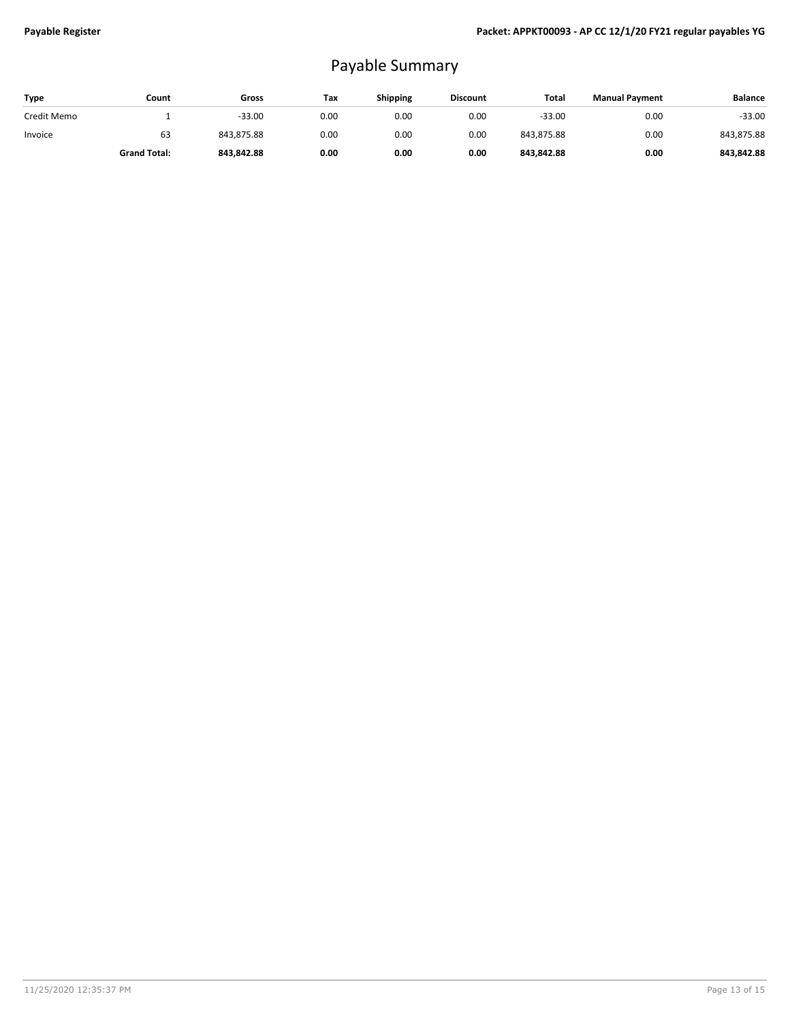## Payable Summary

| Type        | Count               | Gross      | Tax  | <b>Shipping</b> | <b>Discount</b> | Total      | <b>Manual Payment</b> | <b>Balance</b> |
|-------------|---------------------|------------|------|-----------------|-----------------|------------|-----------------------|----------------|
| Credit Memo |                     | $-33.00$   | 0.00 | 0.00            | 0.00            | $-33.00$   | 0.00                  | $-33.00$       |
| Invoice     | 63                  | 843.875.88 | 0.00 | 0.00            | 0.00            | 843,875.88 | 0.00                  | 843,875.88     |
|             | <b>Grand Total:</b> | 843.842.88 | 0.00 | 0.00            | 0.00            | 843.842.88 | 0.00                  | 843.842.88     |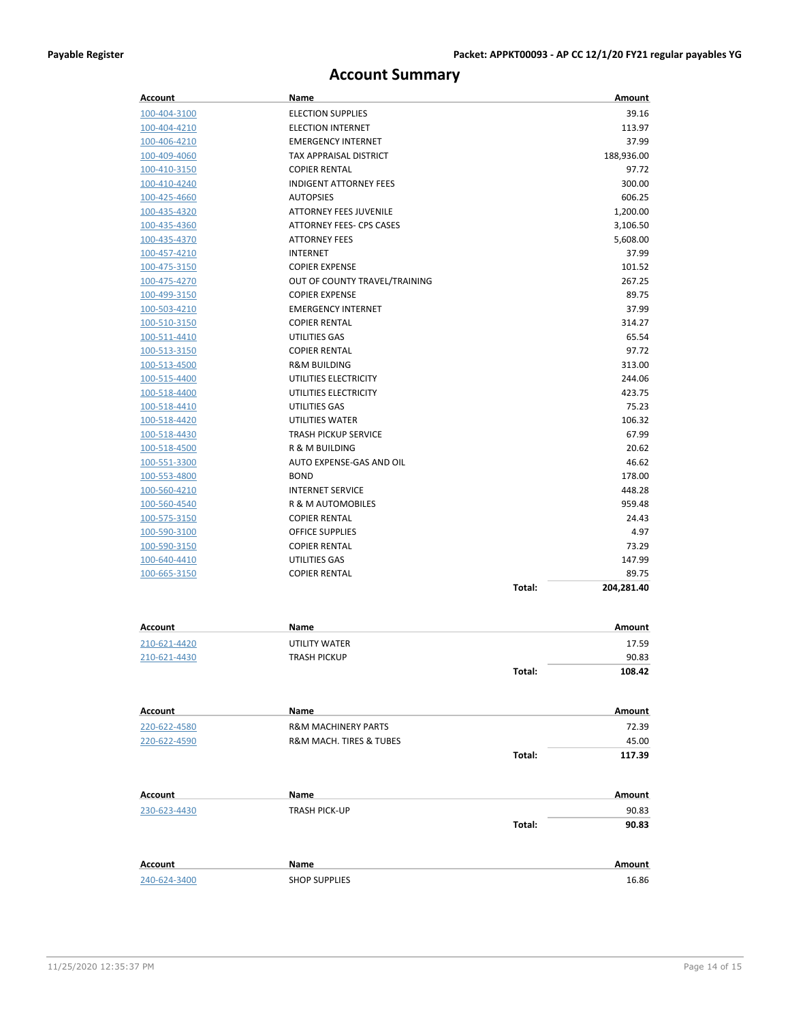**Total: 117.39**

## **Account Summary**

| Account      | Name                            |        | Amount     |
|--------------|---------------------------------|--------|------------|
| 100-404-3100 | <b>ELECTION SUPPLIES</b>        |        | 39.16      |
| 100-404-4210 | <b>ELECTION INTERNET</b>        |        | 113.97     |
| 100-406-4210 | <b>EMERGENCY INTERNET</b>       |        | 37.99      |
| 100-409-4060 | TAX APPRAISAL DISTRICT          |        | 188,936.00 |
| 100-410-3150 | <b>COPIER RENTAL</b>            |        | 97.72      |
| 100-410-4240 | <b>INDIGENT ATTORNEY FEES</b>   |        | 300.00     |
| 100-425-4660 | <b>AUTOPSIES</b>                |        | 606.25     |
| 100-435-4320 | <b>ATTORNEY FEES JUVENILE</b>   |        | 1,200.00   |
| 100-435-4360 | <b>ATTORNEY FEES- CPS CASES</b> |        | 3,106.50   |
| 100-435-4370 | <b>ATTORNEY FEES</b>            |        | 5,608.00   |
| 100-457-4210 | <b>INTERNET</b>                 |        | 37.99      |
| 100-475-3150 | <b>COPIER EXPENSE</b>           |        | 101.52     |
| 100-475-4270 | OUT OF COUNTY TRAVEL/TRAINING   |        | 267.25     |
| 100-499-3150 | <b>COPIER EXPENSE</b>           |        | 89.75      |
| 100-503-4210 | <b>EMERGENCY INTERNET</b>       |        | 37.99      |
| 100-510-3150 | <b>COPIER RENTAL</b>            |        | 314.27     |
| 100-511-4410 | UTILITIES GAS                   |        | 65.54      |
| 100-513-3150 | <b>COPIER RENTAL</b>            |        | 97.72      |
| 100-513-4500 | <b>R&amp;M BUILDING</b>         |        | 313.00     |
| 100-515-4400 | UTILITIES ELECTRICITY           |        | 244.06     |
| 100-518-4400 | UTILITIES ELECTRICITY           |        | 423.75     |
| 100-518-4410 | UTILITIES GAS                   |        | 75.23      |
| 100-518-4420 | <b>UTILITIES WATER</b>          |        | 106.32     |
| 100-518-4430 | <b>TRASH PICKUP SERVICE</b>     |        | 67.99      |
| 100-518-4500 | R & M BUILDING                  |        | 20.62      |
| 100-551-3300 | AUTO EXPENSE-GAS AND OIL        |        | 46.62      |
| 100-553-4800 | <b>BOND</b>                     |        | 178.00     |
| 100-560-4210 | <b>INTERNET SERVICE</b>         |        | 448.28     |
| 100-560-4540 | R & M AUTOMOBILES               |        | 959.48     |
| 100-575-3150 | <b>COPIER RENTAL</b>            |        | 24.43      |
| 100-590-3100 | <b>OFFICE SUPPLIES</b>          |        | 4.97       |
| 100-590-3150 | <b>COPIER RENTAL</b>            |        | 73.29      |
| 100-640-4410 | UTILITIES GAS                   |        | 147.99     |
| 100-665-3150 | <b>COPIER RENTAL</b>            |        | 89.75      |
|              |                                 | Total: | 204,281.40 |
|              |                                 |        |            |
| Account      | Name                            |        | Amount     |
| 210-621-4420 | UTILITY WATER                   |        | 17.59      |
| 210-621-4430 | <b>TRASH PICKUP</b>             |        | 90.83      |
|              |                                 | Total: | 108.42     |
| Account      | Name                            |        | Amount     |
| 220-622-4580 | <b>R&amp;M MACHINERY PARTS</b>  |        | 72.39      |
| 220-622-4590 | R&M MACH. TIRES & TUBES         |        | 45.00      |
|              |                                 |        |            |

| Account      | Name                 |        | Amount |
|--------------|----------------------|--------|--------|
| 230-623-4430 | <b>TRASH PICK-UP</b> |        | 90.83  |
|              |                      | Total: | 90.83  |
| Account      | <b>Name</b>          |        | Amount |
| 240-624-3400 | <b>SHOP SUPPLIES</b> |        | 16.86  |